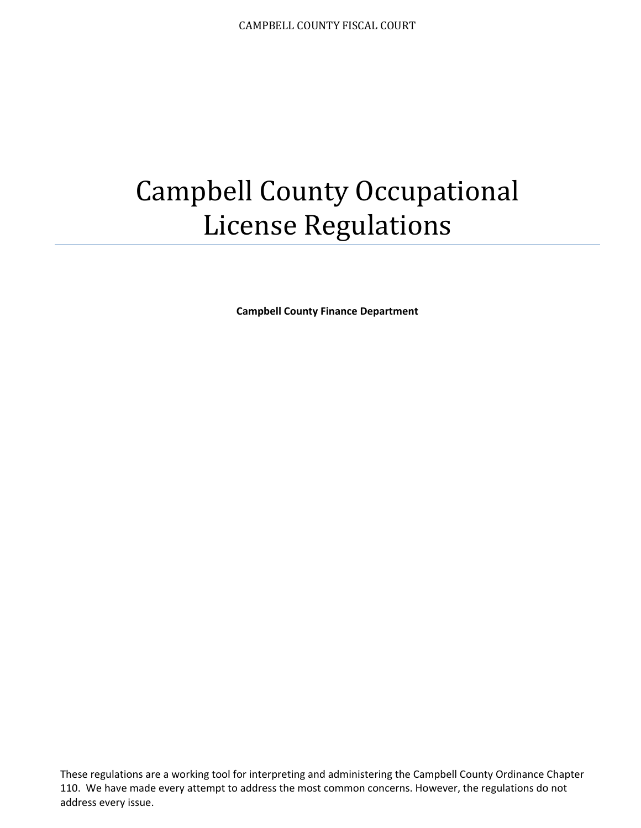# Campbell County Occupational License Regulations

**Campbell County Finance Department** 

These regulations are a working tool for interpreting and administering the Campbell County Ordinance Chapter 110. We have made every attempt to address the most common concerns. However, the regulations do not address every issue.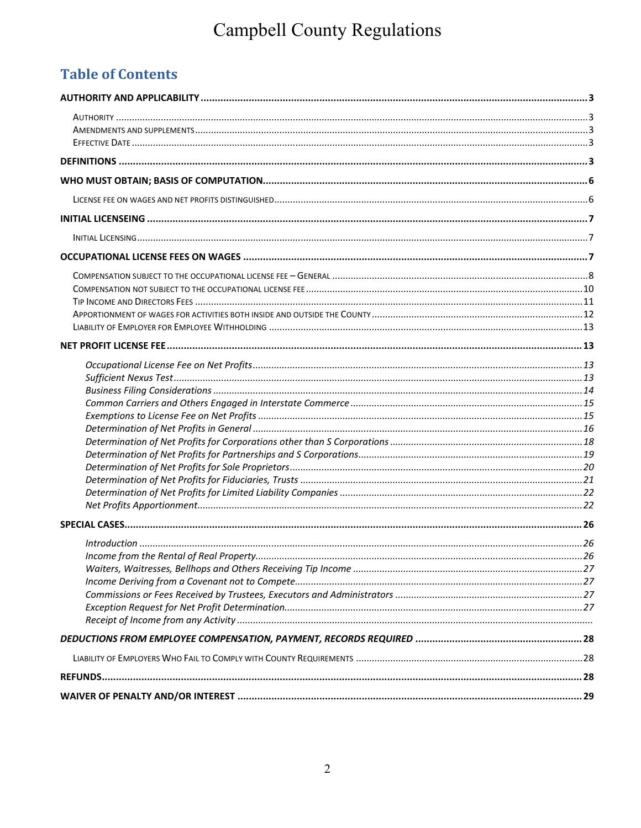## Campbell County Regulations

## **Table of Contents**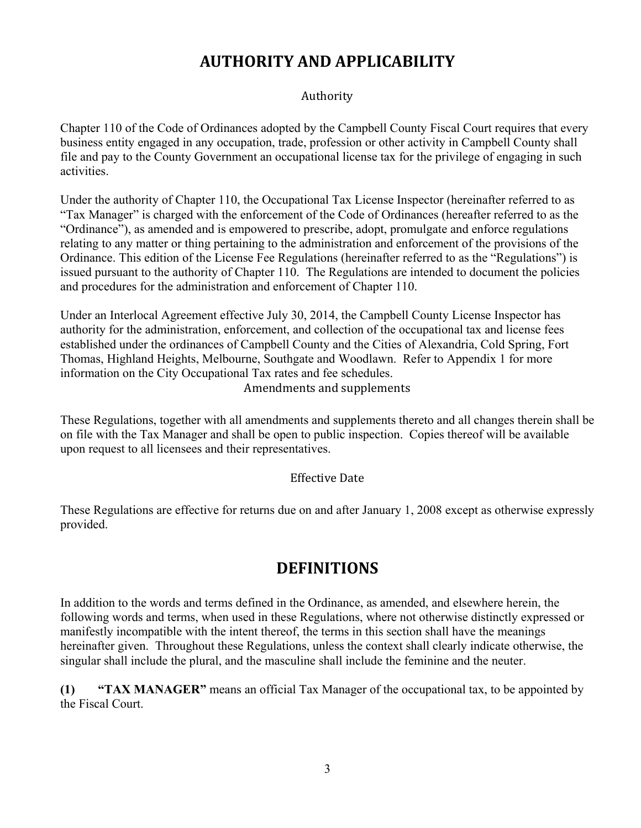## **AUTHORITY AND APPLICABILITY**

#### Authority

Chapter 110 of the Code of Ordinances adopted by the Campbell County Fiscal Court requires that every business entity engaged in any occupation, trade, profession or other activity in Campbell County shall file and pay to the County Government an occupational license tax for the privilege of engaging in such activities.

Under the authority of Chapter 110, the Occupational Tax License Inspector (hereinafter referred to as "Tax Manager" is charged with the enforcement of the Code of Ordinances (hereafter referred to as the "Ordinance"), as amended and is empowered to prescribe, adopt, promulgate and enforce regulations relating to any matter or thing pertaining to the administration and enforcement of the provisions of the Ordinance. This edition of the License Fee Regulations (hereinafter referred to as the "Regulations") is issued pursuant to the authority of Chapter 110. The Regulations are intended to document the policies and procedures for the administration and enforcement of Chapter 110.

Under an Interlocal Agreement effective July 30, 2014, the Campbell County License Inspector has authority for the administration, enforcement, and collection of the occupational tax and license fees established under the ordinances of Campbell County and the Cities of Alexandria, Cold Spring, Fort Thomas, Highland Heights, Melbourne, Southgate and Woodlawn. Refer to Appendix 1 for more information on the City Occupational Tax rates and fee schedules. Amendments and supplements

These Regulations, together with all amendments and supplements thereto and all changes therein shall be on file with the Tax Manager and shall be open to public inspection. Copies thereof will be available upon request to all licensees and their representatives.

#### Effective Date

These Regulations are effective for returns due on and after January 1, 2008 except as otherwise expressly provided.

## **DEFINITIONS**

In addition to the words and terms defined in the Ordinance, as amended, and elsewhere herein, the following words and terms, when used in these Regulations, where not otherwise distinctly expressed or manifestly incompatible with the intent thereof, the terms in this section shall have the meanings hereinafter given. Throughout these Regulations, unless the context shall clearly indicate otherwise, the singular shall include the plural, and the masculine shall include the feminine and the neuter.

**(1) "TAX MANAGER"** means an official Tax Manager of the occupational tax, to be appointed by the Fiscal Court.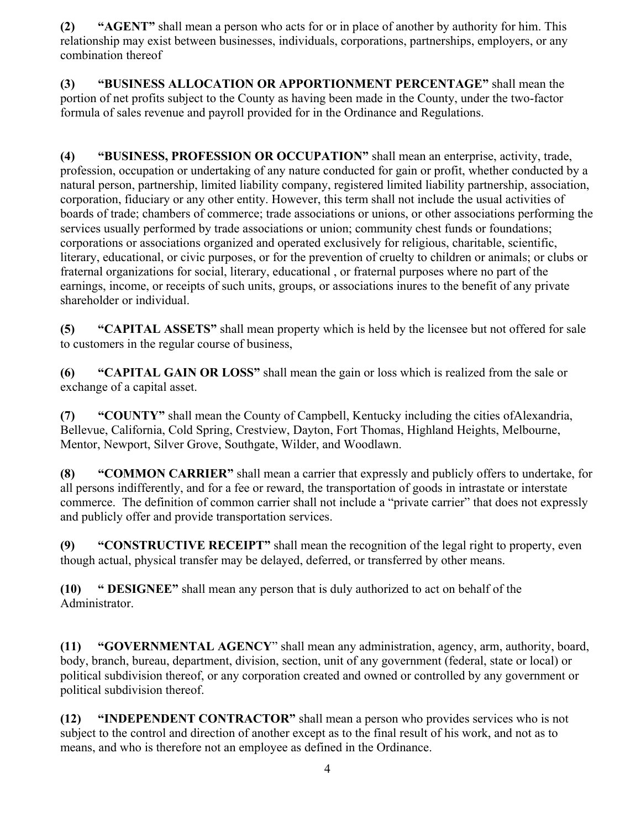**(2) "AGENT"** shall mean a person who acts for or in place of another by authority for him. This relationship may exist between businesses, individuals, corporations, partnerships, employers, or any combination thereof

**(3) "BUSINESS ALLOCATION OR APPORTIONMENT PERCENTAGE"** shall mean the portion of net profits subject to the County as having been made in the County, under the two-factor formula of sales revenue and payroll provided for in the Ordinance and Regulations.

**(4) "BUSINESS, PROFESSION OR OCCUPATION"** shall mean an enterprise, activity, trade, profession, occupation or undertaking of any nature conducted for gain or profit, whether conducted by a natural person, partnership, limited liability company, registered limited liability partnership, association, corporation, fiduciary or any other entity. However, this term shall not include the usual activities of boards of trade; chambers of commerce; trade associations or unions, or other associations performing the services usually performed by trade associations or union; community chest funds or foundations; corporations or associations organized and operated exclusively for religious, charitable, scientific, literary, educational, or civic purposes, or for the prevention of cruelty to children or animals; or clubs or fraternal organizations for social, literary, educational , or fraternal purposes where no part of the earnings, income, or receipts of such units, groups, or associations inures to the benefit of any private shareholder or individual.

**(5) "CAPITAL ASSETS"** shall mean property which is held by the licensee but not offered for sale to customers in the regular course of business,

**(6) "CAPITAL GAIN OR LOSS"** shall mean the gain or loss which is realized from the sale or exchange of a capital asset.

**(7) "COUNTY"** shall mean the County of Campbell, Kentucky including the cities ofAlexandria, Bellevue, California, Cold Spring, Crestview, Dayton, Fort Thomas, Highland Heights, Melbourne, Mentor, Newport, Silver Grove, Southgate, Wilder, and Woodlawn.

**(8) "COMMON CARRIER"** shall mean a carrier that expressly and publicly offers to undertake, for all persons indifferently, and for a fee or reward, the transportation of goods in intrastate or interstate commerce. The definition of common carrier shall not include a "private carrier" that does not expressly and publicly offer and provide transportation services.

**(9) "CONSTRUCTIVE RECEIPT"** shall mean the recognition of the legal right to property, even though actual, physical transfer may be delayed, deferred, or transferred by other means.

**(10) " DESIGNEE"** shall mean any person that is duly authorized to act on behalf of the Administrator.

**(11) "GOVERNMENTAL AGENCY**" shall mean any administration, agency, arm, authority, board, body, branch, bureau, department, division, section, unit of any government (federal, state or local) or political subdivision thereof, or any corporation created and owned or controlled by any government or political subdivision thereof.

**(12) "INDEPENDENT CONTRACTOR"** shall mean a person who provides services who is not subject to the control and direction of another except as to the final result of his work, and not as to means, and who is therefore not an employee as defined in the Ordinance.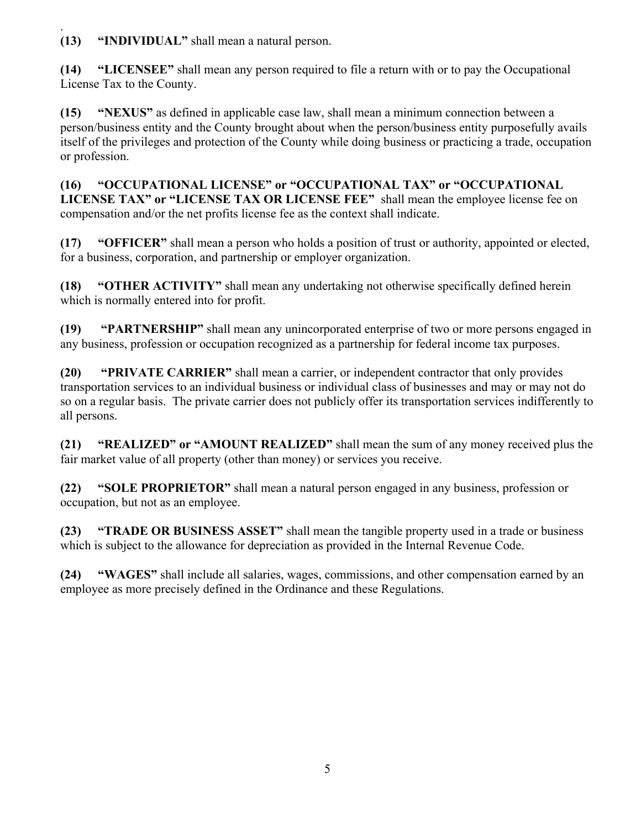. **(13) "INDIVIDUAL"** shall mean a natural person.

**(14) "LICENSEE"** shall mean any person required to file a return with or to pay the Occupational License Tax to the County.

**(15) "NEXUS"** as defined in applicable case law, shall mean a minimum connection between a person/business entity and the County brought about when the person/business entity purposefully avails itself of the privileges and protection of the County while doing business or practicing a trade, occupation or profession.

**(16) "OCCUPATIONAL LICENSE" or "OCCUPATIONAL TAX" or "OCCUPATIONAL LICENSE TAX" or "LICENSE TAX OR LICENSE FEE"** shall mean the employee license fee on compensation and/or the net profits license fee as the context shall indicate.

**(17) "OFFICER"** shall mean a person who holds a position of trust or authority, appointed or elected, for a business, corporation, and partnership or employer organization.

**(18) "OTHER ACTIVITY"** shall mean any undertaking not otherwise specifically defined herein which is normally entered into for profit.

**(19) "PARTNERSHIP"** shall mean any unincorporated enterprise of two or more persons engaged in any business, profession or occupation recognized as a partnership for federal income tax purposes.

**(20) "PRIVATE CARRIER"** shall mean a carrier, or independent contractor that only provides transportation services to an individual business or individual class of businesses and may or may not do so on a regular basis. The private carrier does not publicly offer its transportation services indifferently to all persons.

**(21) "REALIZED" or "AMOUNT REALIZED"** shall mean the sum of any money received plus the fair market value of all property (other than money) or services you receive.

**(22) "SOLE PROPRIETOR"** shall mean a natural person engaged in any business, profession or occupation, but not as an employee.

**(23) "TRADE OR BUSINESS ASSET"** shall mean the tangible property used in a trade or business which is subject to the allowance for depreciation as provided in the Internal Revenue Code.

**(24) "WAGES"** shall include all salaries, wages, commissions, and other compensation earned by an employee as more precisely defined in the Ordinance and these Regulations.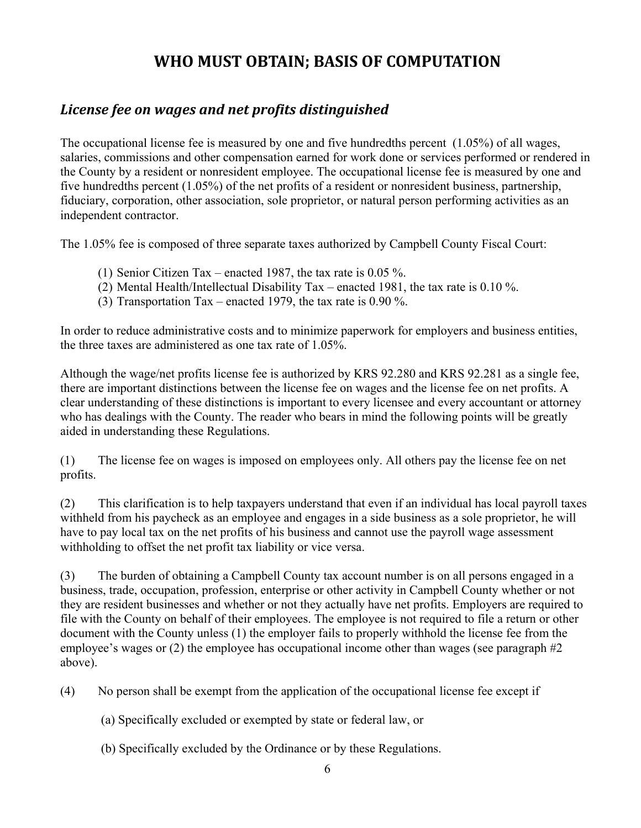## **WHO MUST OBTAIN; BASIS OF COMPUTATION**

#### *License fee on wages and net profits distinguished*

The occupational license fee is measured by one and five hundredths percent (1.05%) of all wages, salaries, commissions and other compensation earned for work done or services performed or rendered in the County by a resident or nonresident employee. The occupational license fee is measured by one and five hundredths percent (1.05%) of the net profits of a resident or nonresident business, partnership, fiduciary, corporation, other association, sole proprietor, or natural person performing activities as an independent contractor.

The 1.05% fee is composed of three separate taxes authorized by Campbell County Fiscal Court:

- (1) Senior Citizen Tax enacted 1987, the tax rate is 0.05 %.
- (2) Mental Health/Intellectual Disability Tax enacted 1981, the tax rate is 0.10 %.
- (3) Transportation Tax enacted 1979, the tax rate is 0.90 %.

In order to reduce administrative costs and to minimize paperwork for employers and business entities, the three taxes are administered as one tax rate of 1.05%.

Although the wage/net profits license fee is authorized by KRS 92.280 and KRS 92.281 as a single fee, there are important distinctions between the license fee on wages and the license fee on net profits. A clear understanding of these distinctions is important to every licensee and every accountant or attorney who has dealings with the County. The reader who bears in mind the following points will be greatly aided in understanding these Regulations.

(1) The license fee on wages is imposed on employees only. All others pay the license fee on net profits.

(2) This clarification is to help taxpayers understand that even if an individual has local payroll taxes withheld from his paycheck as an employee and engages in a side business as a sole proprietor, he will have to pay local tax on the net profits of his business and cannot use the payroll wage assessment withholding to offset the net profit tax liability or vice versa.

(3) The burden of obtaining a Campbell County tax account number is on all persons engaged in a business, trade, occupation, profession, enterprise or other activity in Campbell County whether or not they are resident businesses and whether or not they actually have net profits. Employers are required to file with the County on behalf of their employees. The employee is not required to file a return or other document with the County unless (1) the employer fails to properly withhold the license fee from the employee's wages or (2) the employee has occupational income other than wages (see paragraph #2) above).

(4) No person shall be exempt from the application of the occupational license fee except if

- (a) Specifically excluded or exempted by state or federal law, or
- (b) Specifically excluded by the Ordinance or by these Regulations.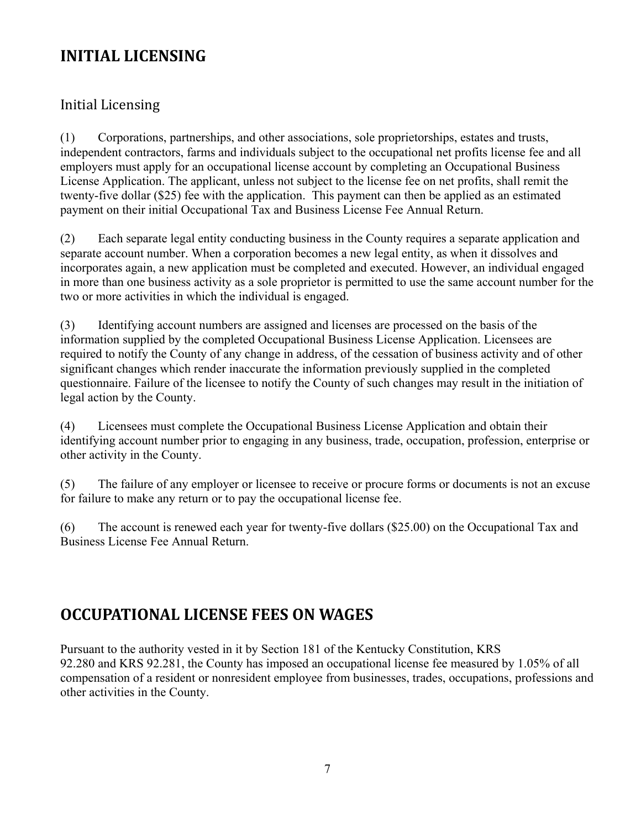## **INITIAL LICENSING**

#### Initial Licensing

(1) Corporations, partnerships, and other associations, sole proprietorships, estates and trusts, independent contractors, farms and individuals subject to the occupational net profits license fee and all employers must apply for an occupational license account by completing an Occupational Business License Application. The applicant, unless not subject to the license fee on net profits, shall remit the twenty-five dollar (\$25) fee with the application. This payment can then be applied as an estimated payment on their initial Occupational Tax and Business License Fee Annual Return.

(2) Each separate legal entity conducting business in the County requires a separate application and separate account number. When a corporation becomes a new legal entity, as when it dissolves and incorporates again, a new application must be completed and executed. However, an individual engaged in more than one business activity as a sole proprietor is permitted to use the same account number for the two or more activities in which the individual is engaged.

(3) Identifying account numbers are assigned and licenses are processed on the basis of the information supplied by the completed Occupational Business License Application. Licensees are required to notify the County of any change in address, of the cessation of business activity and of other significant changes which render inaccurate the information previously supplied in the completed questionnaire. Failure of the licensee to notify the County of such changes may result in the initiation of legal action by the County.

(4) Licensees must complete the Occupational Business License Application and obtain their identifying account number prior to engaging in any business, trade, occupation, profession, enterprise or other activity in the County.

(5) The failure of any employer or licensee to receive or procure forms or documents is not an excuse for failure to make any return or to pay the occupational license fee.

(6) The account is renewed each year for twenty-five dollars (\$25.00) on the Occupational Tax and Business License Fee Annual Return.

## **OCCUPATIONAL LICENSE FEES ON WAGES**

Pursuant to the authority vested in it by Section 181 of the Kentucky Constitution, KRS 92.280 and KRS 92.281, the County has imposed an occupational license fee measured by 1.05% of all compensation of a resident or nonresident employee from businesses, trades, occupations, professions and other activities in the County.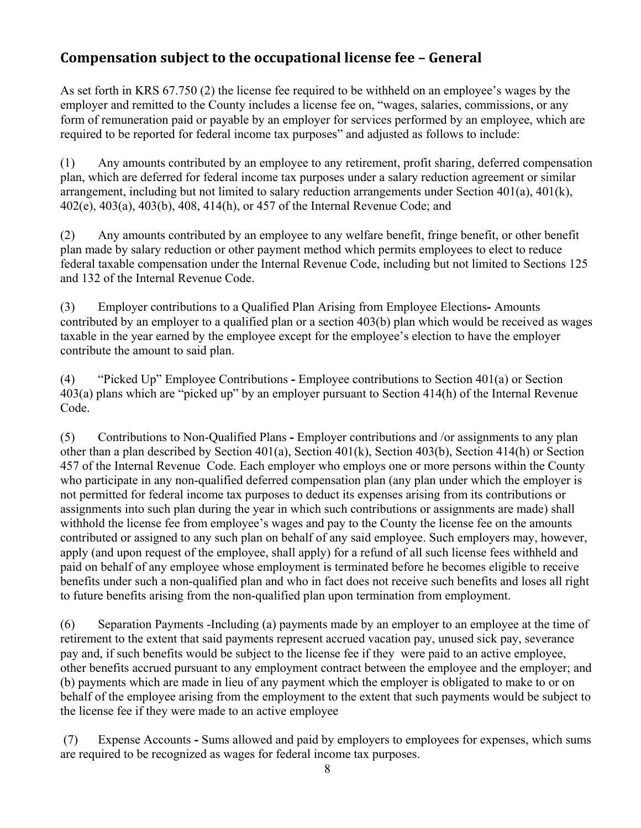#### **Compensation subject to the occupational license fee – General**

As set forth in KRS 67.750 (2) the license fee required to be withheld on an employee's wages by the employer and remitted to the County includes a license fee on, "wages, salaries, commissions, or any form of remuneration paid or payable by an employer for services performed by an employee, which are required to be reported for federal income tax purposes" and adjusted as follows to include:

(1) Any amounts contributed by an employee to any retirement, profit sharing, deferred compensation plan, which are deferred for federal income tax purposes under a salary reduction agreement or similar arrangement, including but not limited to salary reduction arrangements under Section 401(a), 401(k), 402(e), 403(a), 403(b), 408, 414(h), or 457 of the Internal Revenue Code; and

(2) Any amounts contributed by an employee to any welfare benefit, fringe benefit, or other benefit plan made by salary reduction or other payment method which permits employees to elect to reduce federal taxable compensation under the Internal Revenue Code, including but not limited to Sections 125 and 132 of the Internal Revenue Code.

(3) Employer contributions to a Qualified Plan Arising from Employee Elections**-** Amounts contributed by an employer to a qualified plan or a section 403(b) plan which would be received as wages taxable in the year earned by the employee except for the employee's election to have the employer contribute the amount to said plan.

(4) "Picked Up" Employee Contributions **-** Employee contributions to Section 401(a) or Section 403(a) plans which are "picked up" by an employer pursuant to Section 414(h) of the Internal Revenue Code.

(5) Contributions to Non-Qualified Plans **-** Employer contributions and /or assignments to any plan other than a plan described by Section 401(a), Section 401(k), Section 403(b), Section 414(h) or Section 457 of the Internal Revenue Code. Each employer who employs one or more persons within the County who participate in any non-qualified deferred compensation plan (any plan under which the employer is not permitted for federal income tax purposes to deduct its expenses arising from its contributions or assignments into such plan during the year in which such contributions or assignments are made) shall withhold the license fee from employee's wages and pay to the County the license fee on the amounts contributed or assigned to any such plan on behalf of any said employee. Such employers may, however, apply (and upon request of the employee, shall apply) for a refund of all such license fees withheld and paid on behalf of any employee whose employment is terminated before he becomes eligible to receive benefits under such a non-qualified plan and who in fact does not receive such benefits and loses all right to future benefits arising from the non-qualified plan upon termination from employment.

(6) Separation Payments -Including (a) payments made by an employer to an employee at the time of retirement to the extent that said payments represent accrued vacation pay, unused sick pay, severance pay and, if such benefits would be subject to the license fee if they were paid to an active employee, other benefits accrued pursuant to any employment contract between the employee and the employer; and (b) payments which are made in lieu of any payment which the employer is obligated to make to or on behalf of the employee arising from the employment to the extent that such payments would be subject to the license fee if they were made to an active employee

 (7) Expense Accounts **-** Sums allowed and paid by employers to employees for expenses, which sums are required to be recognized as wages for federal income tax purposes.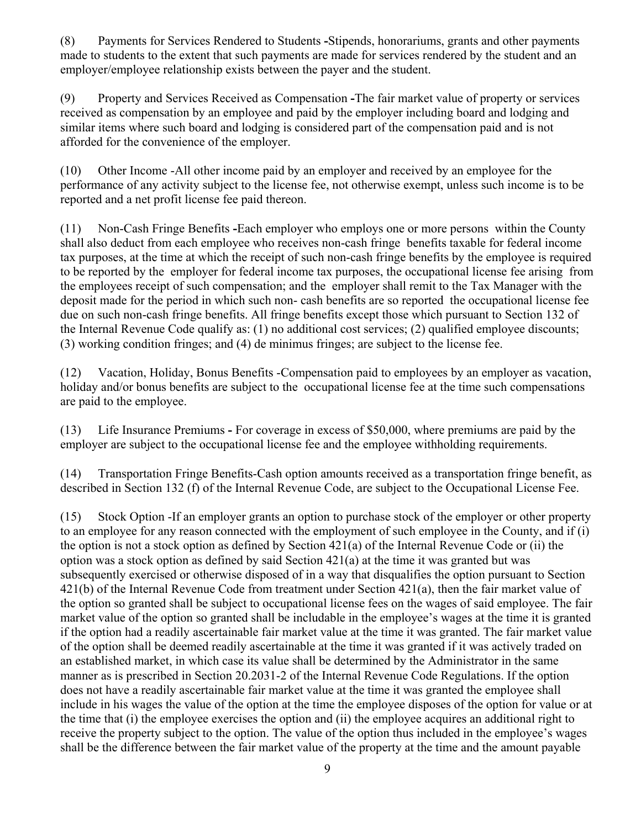(8) Payments for Services Rendered to Students **-**Stipends, honorariums, grants and other payments made to students to the extent that such payments are made for services rendered by the student and an employer/employee relationship exists between the payer and the student.

(9) Property and Services Received as Compensation **-**The fair market value of property or services received as compensation by an employee and paid by the employer including board and lodging and similar items where such board and lodging is considered part of the compensation paid and is not afforded for the convenience of the employer.

(10) Other Income -All other income paid by an employer and received by an employee for the performance of any activity subject to the license fee, not otherwise exempt, unless such income is to be reported and a net profit license fee paid thereon.

(11) Non-Cash Fringe Benefits **-**Each employer who employs one or more persons within the County shall also deduct from each employee who receives non-cash fringe benefits taxable for federal income tax purposes, at the time at which the receipt of such non-cash fringe benefits by the employee is required to be reported by the employer for federal income tax purposes, the occupational license fee arising from the employees receipt of such compensation; and the employer shall remit to the Tax Manager with the deposit made for the period in which such non- cash benefits are so reported the occupational license fee due on such non-cash fringe benefits. All fringe benefits except those which pursuant to Section 132 of the Internal Revenue Code qualify as: (1) no additional cost services; (2) qualified employee discounts; (3) working condition fringes; and (4) de minimus fringes; are subject to the license fee.

(12) Vacation, Holiday, Bonus Benefits -Compensation paid to employees by an employer as vacation, holiday and/or bonus benefits are subject to the occupational license fee at the time such compensations are paid to the employee.

(13) Life Insurance Premiums **-** For coverage in excess of \$50,000, where premiums are paid by the employer are subject to the occupational license fee and the employee withholding requirements.

(14) Transportation Fringe Benefits-Cash option amounts received as a transportation fringe benefit, as described in Section 132 (f) of the Internal Revenue Code, are subject to the Occupational License Fee.

(15) Stock Option -If an employer grants an option to purchase stock of the employer or other property to an employee for any reason connected with the employment of such employee in the County, and if (i) the option is not a stock option as defined by Section 421(a) of the Internal Revenue Code or (ii) the option was a stock option as defined by said Section  $421(a)$  at the time it was granted but was subsequently exercised or otherwise disposed of in a way that disqualifies the option pursuant to Section 421(b) of the Internal Revenue Code from treatment under Section 421(a), then the fair market value of the option so granted shall be subject to occupational license fees on the wages of said employee. The fair market value of the option so granted shall be includable in the employee's wages at the time it is granted if the option had a readily ascertainable fair market value at the time it was granted. The fair market value of the option shall be deemed readily ascertainable at the time it was granted if it was actively traded on an established market, in which case its value shall be determined by the Administrator in the same manner as is prescribed in Section 20.2031-2 of the Internal Revenue Code Regulations. If the option does not have a readily ascertainable fair market value at the time it was granted the employee shall include in his wages the value of the option at the time the employee disposes of the option for value or at the time that (i) the employee exercises the option and (ii) the employee acquires an additional right to receive the property subject to the option. The value of the option thus included in the employee's wages shall be the difference between the fair market value of the property at the time and the amount payable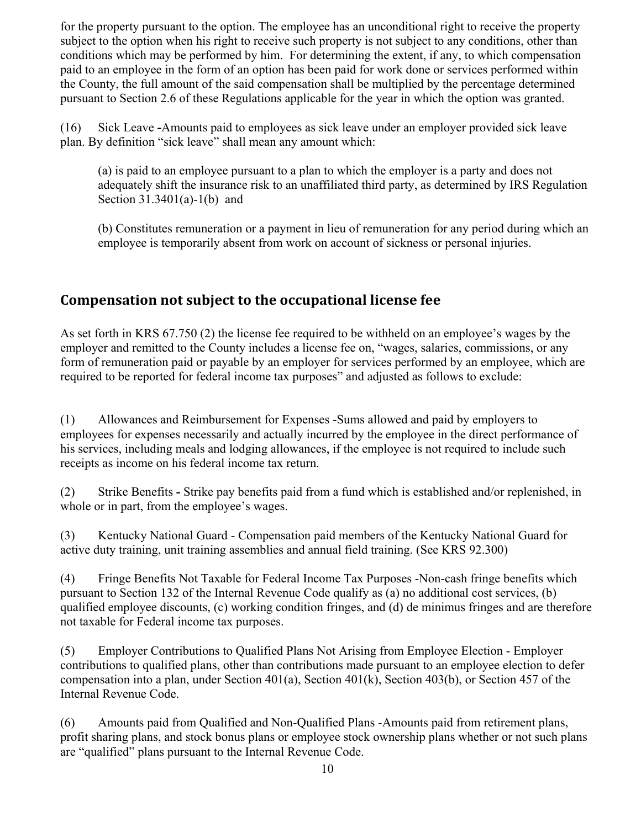for the property pursuant to the option. The employee has an unconditional right to receive the property subject to the option when his right to receive such property is not subject to any conditions, other than conditions which may be performed by him. For determining the extent, if any, to which compensation paid to an employee in the form of an option has been paid for work done or services performed within the County, the full amount of the said compensation shall be multiplied by the percentage determined pursuant to Section 2.6 of these Regulations applicable for the year in which the option was granted.

(16) Sick Leave **-**Amounts paid to employees as sick leave under an employer provided sick leave plan. By definition "sick leave" shall mean any amount which:

(a) is paid to an employee pursuant to a plan to which the employer is a party and does not adequately shift the insurance risk to an unaffiliated third party, as determined by IRS Regulation Section 31.3401(a)-1(b) and

(b) Constitutes remuneration or a payment in lieu of remuneration for any period during which an employee is temporarily absent from work on account of sickness or personal injuries.

#### **Compensation not subject to the occupational license fee**

As set forth in KRS 67.750 (2) the license fee required to be withheld on an employee's wages by the employer and remitted to the County includes a license fee on, "wages, salaries, commissions, or any form of remuneration paid or payable by an employer for services performed by an employee, which are required to be reported for federal income tax purposes" and adjusted as follows to exclude:

(1) Allowances and Reimbursement for Expenses -Sums allowed and paid by employers to employees for expenses necessarily and actually incurred by the employee in the direct performance of his services, including meals and lodging allowances, if the employee is not required to include such receipts as income on his federal income tax return.

(2) Strike Benefits **-** Strike pay benefits paid from a fund which is established and/or replenished, in whole or in part, from the employee's wages.

(3) Kentucky National Guard - Compensation paid members of the Kentucky National Guard for active duty training, unit training assemblies and annual field training. (See KRS 92.300)

(4) Fringe Benefits Not Taxable for Federal Income Tax Purposes -Non-cash fringe benefits which pursuant to Section 132 of the Internal Revenue Code qualify as (a) no additional cost services, (b) qualified employee discounts, (c) working condition fringes, and (d) de minimus fringes and are therefore not taxable for Federal income tax purposes.

(5) Employer Contributions to Qualified Plans Not Arising from Employee Election - Employer contributions to qualified plans, other than contributions made pursuant to an employee election to defer compensation into a plan, under Section 401(a), Section 401(k), Section 403(b), or Section 457 of the Internal Revenue Code.

(6) Amounts paid from Qualified and Non-Qualified Plans -Amounts paid from retirement plans, profit sharing plans, and stock bonus plans or employee stock ownership plans whether or not such plans are "qualified" plans pursuant to the Internal Revenue Code.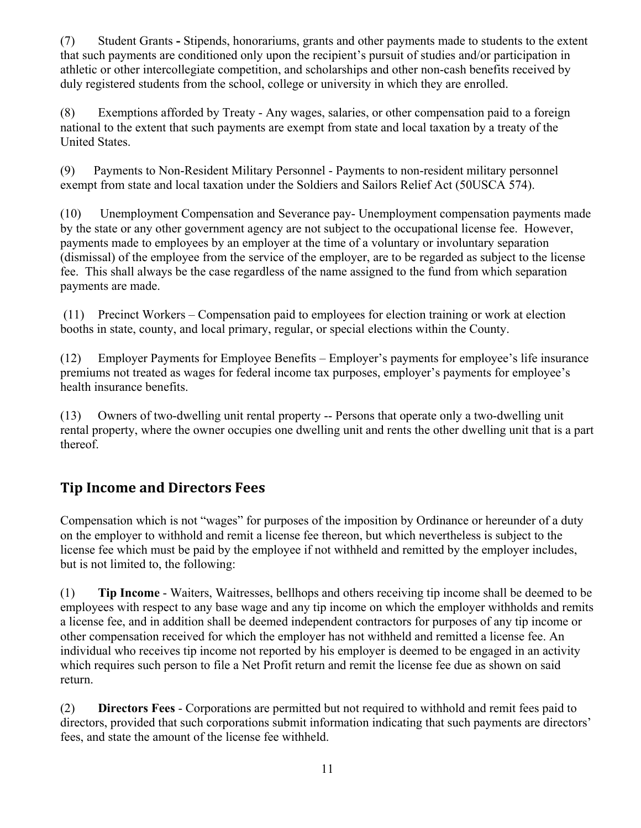(7) Student Grants **-** Stipends, honorariums, grants and other payments made to students to the extent that such payments are conditioned only upon the recipient's pursuit of studies and/or participation in athletic or other intercollegiate competition, and scholarships and other non-cash benefits received by duly registered students from the school, college or university in which they are enrolled.

(8) Exemptions afforded by Treaty - Any wages, salaries, or other compensation paid to a foreign national to the extent that such payments are exempt from state and local taxation by a treaty of the United States.

(9) Payments to Non-Resident Military Personnel - Payments to non-resident military personnel exempt from state and local taxation under the Soldiers and Sailors Relief Act (50USCA 574).

(10) Unemployment Compensation and Severance pay- Unemployment compensation payments made by the state or any other government agency are not subject to the occupational license fee. However, payments made to employees by an employer at the time of a voluntary or involuntary separation (dismissal) of the employee from the service of the employer, are to be regarded as subject to the license fee. This shall always be the case regardless of the name assigned to the fund from which separation payments are made.

 (11) Precinct Workers – Compensation paid to employees for election training or work at election booths in state, county, and local primary, regular, or special elections within the County.

(12) Employer Payments for Employee Benefits – Employer's payments for employee's life insurance premiums not treated as wages for federal income tax purposes, employer's payments for employee's health insurance benefits.

(13) Owners of two-dwelling unit rental property -- Persons that operate only a two-dwelling unit rental property, where the owner occupies one dwelling unit and rents the other dwelling unit that is a part thereof.

## **Tip Income and Directors Fees**

Compensation which is not "wages" for purposes of the imposition by Ordinance or hereunder of a duty on the employer to withhold and remit a license fee thereon, but which nevertheless is subject to the license fee which must be paid by the employee if not withheld and remitted by the employer includes, but is not limited to, the following:

(1) **Tip Income** - Waiters, Waitresses, bellhops and others receiving tip income shall be deemed to be employees with respect to any base wage and any tip income on which the employer withholds and remits a license fee, and in addition shall be deemed independent contractors for purposes of any tip income or other compensation received for which the employer has not withheld and remitted a license fee. An individual who receives tip income not reported by his employer is deemed to be engaged in an activity which requires such person to file a Net Profit return and remit the license fee due as shown on said return.

(2) **Directors Fees** - Corporations are permitted but not required to withhold and remit fees paid to directors, provided that such corporations submit information indicating that such payments are directors' fees, and state the amount of the license fee withheld.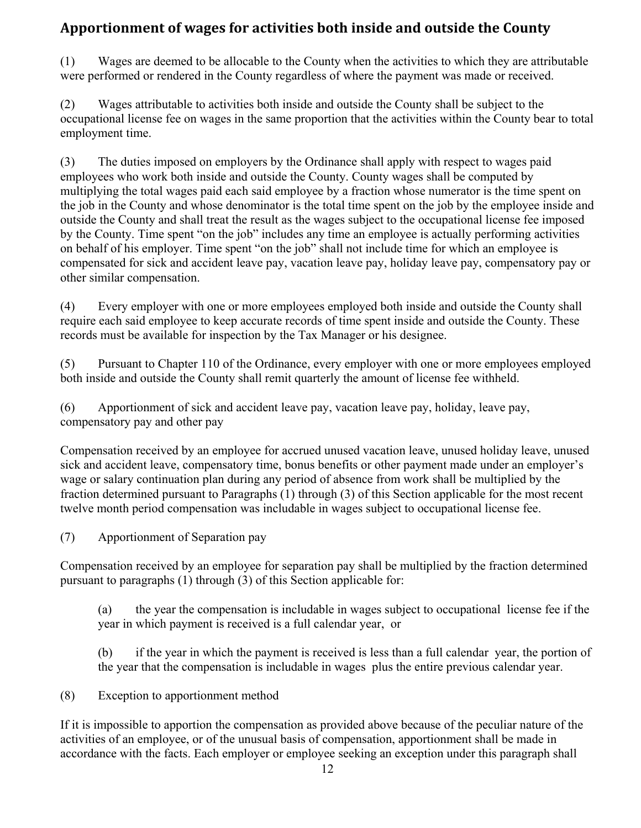## **Apportionment of wages for activities both inside and outside the County**

(1) Wages are deemed to be allocable to the County when the activities to which they are attributable were performed or rendered in the County regardless of where the payment was made or received.

(2) Wages attributable to activities both inside and outside the County shall be subject to the occupational license fee on wages in the same proportion that the activities within the County bear to total employment time.

(3) The duties imposed on employers by the Ordinance shall apply with respect to wages paid employees who work both inside and outside the County. County wages shall be computed by multiplying the total wages paid each said employee by a fraction whose numerator is the time spent on the job in the County and whose denominator is the total time spent on the job by the employee inside and outside the County and shall treat the result as the wages subject to the occupational license fee imposed by the County. Time spent "on the job" includes any time an employee is actually performing activities on behalf of his employer. Time spent "on the job" shall not include time for which an employee is compensated for sick and accident leave pay, vacation leave pay, holiday leave pay, compensatory pay or other similar compensation.

(4) Every employer with one or more employees employed both inside and outside the County shall require each said employee to keep accurate records of time spent inside and outside the County. These records must be available for inspection by the Tax Manager or his designee.

(5) Pursuant to Chapter 110 of the Ordinance, every employer with one or more employees employed both inside and outside the County shall remit quarterly the amount of license fee withheld.

(6) Apportionment of sick and accident leave pay, vacation leave pay, holiday, leave pay, compensatory pay and other pay

Compensation received by an employee for accrued unused vacation leave, unused holiday leave, unused sick and accident leave, compensatory time, bonus benefits or other payment made under an employer's wage or salary continuation plan during any period of absence from work shall be multiplied by the fraction determined pursuant to Paragraphs (1) through (3) of this Section applicable for the most recent twelve month period compensation was includable in wages subject to occupational license fee.

(7) Apportionment of Separation pay

Compensation received by an employee for separation pay shall be multiplied by the fraction determined pursuant to paragraphs (1) through (3) of this Section applicable for:

(a) the year the compensation is includable in wages subject to occupational license fee if the year in which payment is received is a full calendar year, or

(b) if the year in which the payment is received is less than a full calendar year, the portion of the year that the compensation is includable in wages plus the entire previous calendar year.

(8) Exception to apportionment method

If it is impossible to apportion the compensation as provided above because of the peculiar nature of the activities of an employee, or of the unusual basis of compensation, apportionment shall be made in accordance with the facts. Each employer or employee seeking an exception under this paragraph shall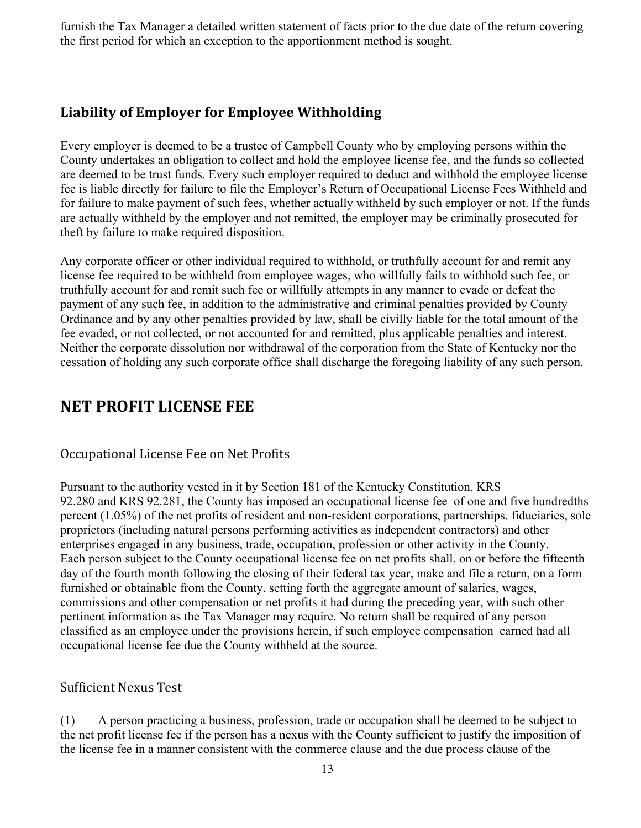furnish the Tax Manager a detailed written statement of facts prior to the due date of the return covering the first period for which an exception to the apportionment method is sought.

#### **Liability of Employer for Employee Withholding**

Every employer is deemed to be a trustee of Campbell County who by employing persons within the County undertakes an obligation to collect and hold the employee license fee, and the funds so collected are deemed to be trust funds. Every such employer required to deduct and withhold the employee license fee is liable directly for failure to file the Employer's Return of Occupational License Fees Withheld and for failure to make payment of such fees, whether actually withheld by such employer or not. If the funds are actually withheld by the employer and not remitted, the employer may be criminally prosecuted for theft by failure to make required disposition.

Any corporate officer or other individual required to withhold, or truthfully account for and remit any license fee required to be withheld from employee wages, who willfully fails to withhold such fee, or truthfully account for and remit such fee or willfully attempts in any manner to evade or defeat the payment of any such fee, in addition to the administrative and criminal penalties provided by County Ordinance and by any other penalties provided by law, shall be civilly liable for the total amount of the fee evaded, or not collected, or not accounted for and remitted, plus applicable penalties and interest. Neither the corporate dissolution nor withdrawal of the corporation from the State of Kentucky nor the cessation of holding any such corporate office shall discharge the foregoing liability of any such person.

## **NET PROFIT LICENSE FEE**

#### Occupational License Fee on Net Profits

Pursuant to the authority vested in it by Section 181 of the Kentucky Constitution, KRS 92.280 and KRS 92.281, the County has imposed an occupational license fee of one and five hundredths percent (1.05%) of the net profits of resident and non-resident corporations, partnerships, fiduciaries, sole proprietors (including natural persons performing activities as independent contractors) and other enterprises engaged in any business, trade, occupation, profession or other activity in the County. Each person subject to the County occupational license fee on net profits shall, on or before the fifteenth day of the fourth month following the closing of their federal tax year, make and file a return, on a form furnished or obtainable from the County, setting forth the aggregate amount of salaries, wages, commissions and other compensation or net profits it had during the preceding year, with such other pertinent information as the Tax Manager may require. No return shall be required of any person classified as an employee under the provisions herein, if such employee compensation earned had all occupational license fee due the County withheld at the source.

#### Sufficient Nexus Test

(1) A person practicing a business, profession, trade or occupation shall be deemed to be subject to the net profit license fee if the person has a nexus with the County sufficient to justify the imposition of the license fee in a manner consistent with the commerce clause and the due process clause of the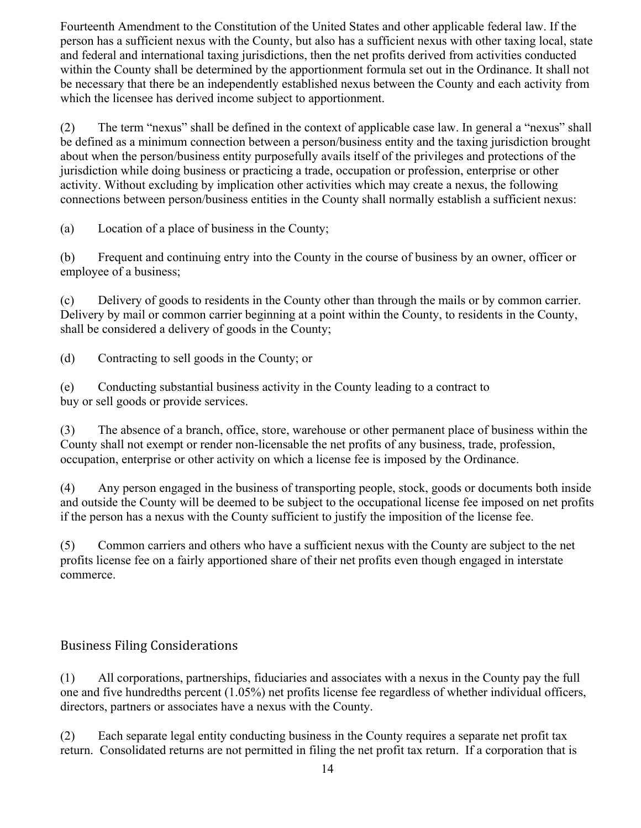Fourteenth Amendment to the Constitution of the United States and other applicable federal law. If the person has a sufficient nexus with the County, but also has a sufficient nexus with other taxing local, state and federal and international taxing jurisdictions, then the net profits derived from activities conducted within the County shall be determined by the apportionment formula set out in the Ordinance. It shall not be necessary that there be an independently established nexus between the County and each activity from which the licensee has derived income subject to apportionment.

(2) The term "nexus" shall be defined in the context of applicable case law. In general a "nexus" shall be defined as a minimum connection between a person/business entity and the taxing jurisdiction brought about when the person/business entity purposefully avails itself of the privileges and protections of the jurisdiction while doing business or practicing a trade, occupation or profession, enterprise or other activity. Without excluding by implication other activities which may create a nexus, the following connections between person/business entities in the County shall normally establish a sufficient nexus:

(a) Location of a place of business in the County;

(b) Frequent and continuing entry into the County in the course of business by an owner, officer or employee of a business;

(c) Delivery of goods to residents in the County other than through the mails or by common carrier. Delivery by mail or common carrier beginning at a point within the County, to residents in the County, shall be considered a delivery of goods in the County;

(d) Contracting to sell goods in the County; or

(e) Conducting substantial business activity in the County leading to a contract to buy or sell goods or provide services.

(3) The absence of a branch, office, store, warehouse or other permanent place of business within the County shall not exempt or render non-licensable the net profits of any business, trade, profession, occupation, enterprise or other activity on which a license fee is imposed by the Ordinance.

(4) Any person engaged in the business of transporting people, stock, goods or documents both inside and outside the County will be deemed to be subject to the occupational license fee imposed on net profits if the person has a nexus with the County sufficient to justify the imposition of the license fee.

(5) Common carriers and others who have a sufficient nexus with the County are subject to the net profits license fee on a fairly apportioned share of their net profits even though engaged in interstate commerce.

#### Business Filing Considerations

(1) All corporations, partnerships, fiduciaries and associates with a nexus in the County pay the full one and five hundredths percent (1.05%) net profits license fee regardless of whether individual officers, directors, partners or associates have a nexus with the County.

(2) Each separate legal entity conducting business in the County requires a separate net profit tax return. Consolidated returns are not permitted in filing the net profit tax return. If a corporation that is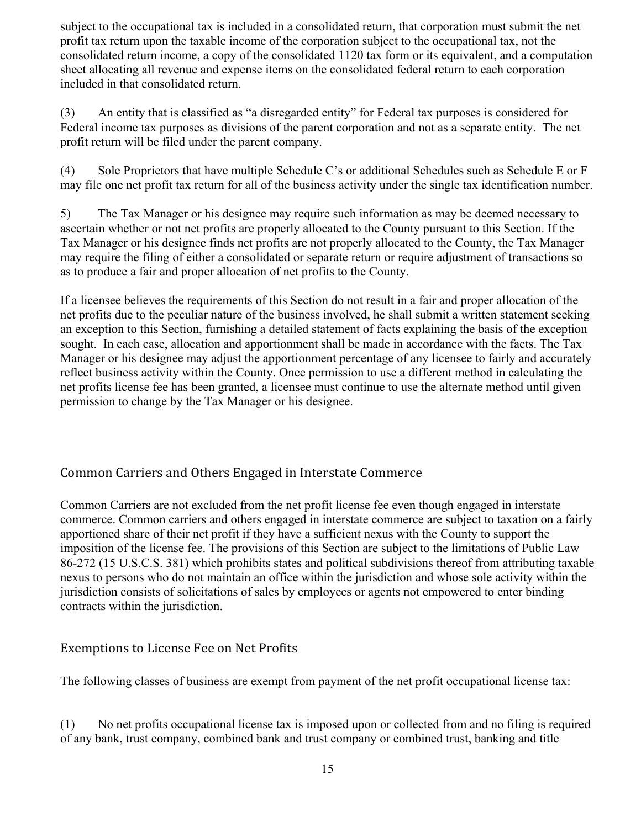subject to the occupational tax is included in a consolidated return, that corporation must submit the net profit tax return upon the taxable income of the corporation subject to the occupational tax, not the consolidated return income, a copy of the consolidated 1120 tax form or its equivalent, and a computation sheet allocating all revenue and expense items on the consolidated federal return to each corporation included in that consolidated return.

(3) An entity that is classified as "a disregarded entity" for Federal tax purposes is considered for Federal income tax purposes as divisions of the parent corporation and not as a separate entity. The net profit return will be filed under the parent company.

(4) Sole Proprietors that have multiple Schedule C's or additional Schedules such as Schedule E or F may file one net profit tax return for all of the business activity under the single tax identification number.

5) The Tax Manager or his designee may require such information as may be deemed necessary to ascertain whether or not net profits are properly allocated to the County pursuant to this Section. If the Tax Manager or his designee finds net profits are not properly allocated to the County, the Tax Manager may require the filing of either a consolidated or separate return or require adjustment of transactions so as to produce a fair and proper allocation of net profits to the County.

If a licensee believes the requirements of this Section do not result in a fair and proper allocation of the net profits due to the peculiar nature of the business involved, he shall submit a written statement seeking an exception to this Section, furnishing a detailed statement of facts explaining the basis of the exception sought. In each case, allocation and apportionment shall be made in accordance with the facts. The Tax Manager or his designee may adjust the apportionment percentage of any licensee to fairly and accurately reflect business activity within the County. Once permission to use a different method in calculating the net profits license fee has been granted, a licensee must continue to use the alternate method until given permission to change by the Tax Manager or his designee.

#### Common Carriers and Others Engaged in Interstate Commerce

Common Carriers are not excluded from the net profit license fee even though engaged in interstate commerce. Common carriers and others engaged in interstate commerce are subject to taxation on a fairly apportioned share of their net profit if they have a sufficient nexus with the County to support the imposition of the license fee. The provisions of this Section are subject to the limitations of Public Law 86-272 (15 U.S.C.S. 381) which prohibits states and political subdivisions thereof from attributing taxable nexus to persons who do not maintain an office within the jurisdiction and whose sole activity within the jurisdiction consists of solicitations of sales by employees or agents not empowered to enter binding contracts within the jurisdiction.

#### Exemptions to License Fee on Net Profits

The following classes of business are exempt from payment of the net profit occupational license tax:

(1) No net profits occupational license tax is imposed upon or collected from and no filing is required of any bank, trust company, combined bank and trust company or combined trust, banking and title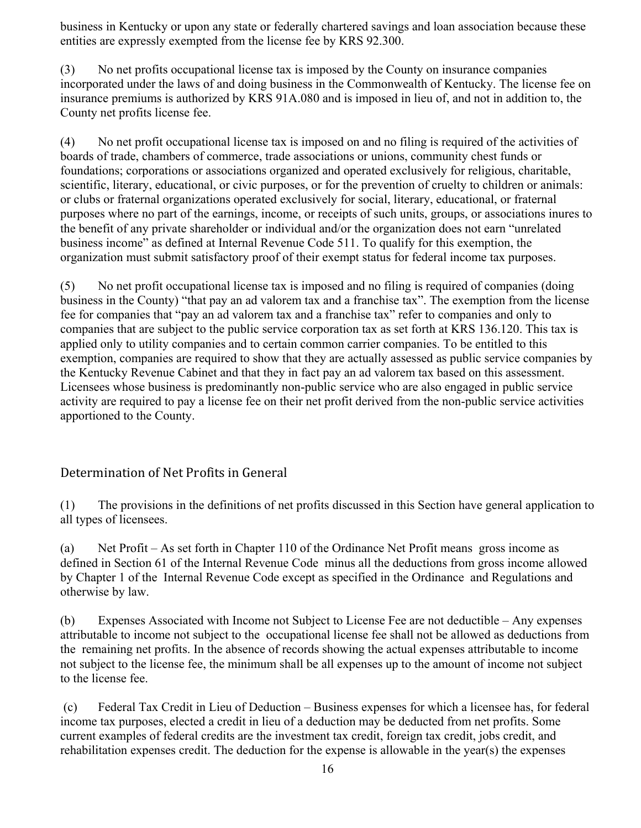business in Kentucky or upon any state or federally chartered savings and loan association because these entities are expressly exempted from the license fee by KRS 92.300.

(3) No net profits occupational license tax is imposed by the County on insurance companies incorporated under the laws of and doing business in the Commonwealth of Kentucky. The license fee on insurance premiums is authorized by KRS 91A.080 and is imposed in lieu of, and not in addition to, the County net profits license fee.

(4) No net profit occupational license tax is imposed on and no filing is required of the activities of boards of trade, chambers of commerce, trade associations or unions, community chest funds or foundations; corporations or associations organized and operated exclusively for religious, charitable, scientific, literary, educational, or civic purposes, or for the prevention of cruelty to children or animals: or clubs or fraternal organizations operated exclusively for social, literary, educational, or fraternal purposes where no part of the earnings, income, or receipts of such units, groups, or associations inures to the benefit of any private shareholder or individual and/or the organization does not earn "unrelated business income" as defined at Internal Revenue Code 511. To qualify for this exemption, the organization must submit satisfactory proof of their exempt status for federal income tax purposes.

(5) No net profit occupational license tax is imposed and no filing is required of companies (doing business in the County) "that pay an ad valorem tax and a franchise tax". The exemption from the license fee for companies that "pay an ad valorem tax and a franchise tax" refer to companies and only to companies that are subject to the public service corporation tax as set forth at KRS 136.120. This tax is applied only to utility companies and to certain common carrier companies. To be entitled to this exemption, companies are required to show that they are actually assessed as public service companies by the Kentucky Revenue Cabinet and that they in fact pay an ad valorem tax based on this assessment. Licensees whose business is predominantly non-public service who are also engaged in public service activity are required to pay a license fee on their net profit derived from the non-public service activities apportioned to the County.

#### Determination of Net Profits in General

(1) The provisions in the definitions of net profits discussed in this Section have general application to all types of licensees.

(a) Net Profit – As set forth in Chapter 110 of the Ordinance Net Profit means gross income as defined in Section 61 of the Internal Revenue Code minus all the deductions from gross income allowed by Chapter 1 of the Internal Revenue Code except as specified in the Ordinance and Regulations and otherwise by law.

(b) Expenses Associated with Income not Subject to License Fee are not deductible – Any expenses attributable to income not subject to the occupational license fee shall not be allowed as deductions from the remaining net profits. In the absence of records showing the actual expenses attributable to income not subject to the license fee, the minimum shall be all expenses up to the amount of income not subject to the license fee.

 (c) Federal Tax Credit in Lieu of Deduction – Business expenses for which a licensee has, for federal income tax purposes, elected a credit in lieu of a deduction may be deducted from net profits. Some current examples of federal credits are the investment tax credit, foreign tax credit, jobs credit, and rehabilitation expenses credit. The deduction for the expense is allowable in the year(s) the expenses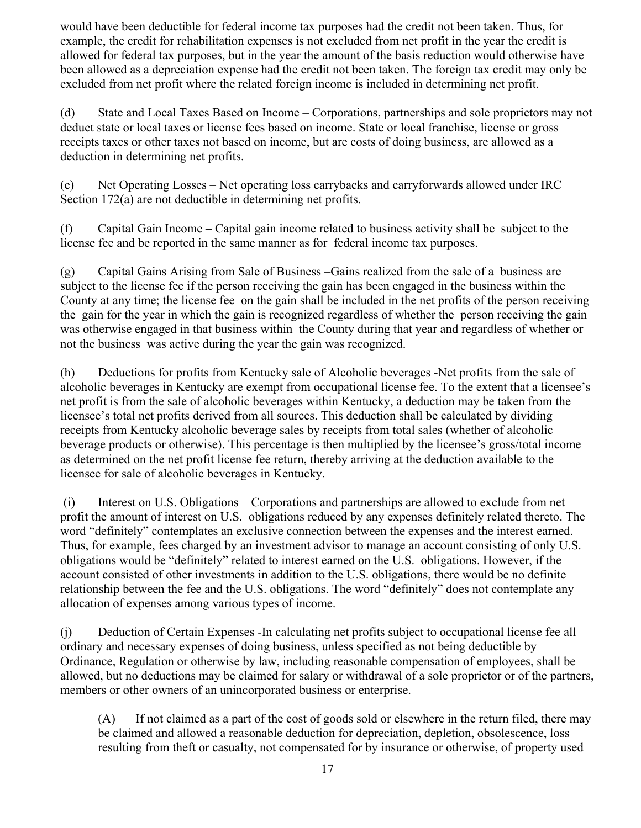would have been deductible for federal income tax purposes had the credit not been taken. Thus, for example, the credit for rehabilitation expenses is not excluded from net profit in the year the credit is allowed for federal tax purposes, but in the year the amount of the basis reduction would otherwise have been allowed as a depreciation expense had the credit not been taken. The foreign tax credit may only be excluded from net profit where the related foreign income is included in determining net profit.

(d)State and Local Taxes Based on Income – Corporations, partnerships and sole proprietors may not deduct state or local taxes or license fees based on income. State or local franchise, license or gross receipts taxes or other taxes not based on income, but are costs of doing business, are allowed as a deduction in determining net profits.

(e) Net Operating Losses – Net operating loss carrybacks and carryforwards allowed under IRC Section 172(a) are not deductible in determining net profits.

(f) Capital Gain Income **–** Capital gain income related to business activity shall be subject to the license fee and be reported in the same manner as for federal income tax purposes.

(g) Capital Gains Arising from Sale of Business –Gains realized from the sale of a business are subject to the license fee if the person receiving the gain has been engaged in the business within the County at any time; the license fee on the gain shall be included in the net profits of the person receiving the gain for the year in which the gain is recognized regardless of whether the person receiving the gain was otherwise engaged in that business within the County during that year and regardless of whether or not the business was active during the year the gain was recognized.

(h) Deductions for profits from Kentucky sale of Alcoholic beverages -Net profits from the sale of alcoholic beverages in Kentucky are exempt from occupational license fee. To the extent that a licensee's net profit is from the sale of alcoholic beverages within Kentucky, a deduction may be taken from the licensee's total net profits derived from all sources. This deduction shall be calculated by dividing receipts from Kentucky alcoholic beverage sales by receipts from total sales (whether of alcoholic beverage products or otherwise). This percentage is then multiplied by the licensee's gross/total income as determined on the net profit license fee return, thereby arriving at the deduction available to the licensee for sale of alcoholic beverages in Kentucky.

 (i) Interest on U.S. Obligations – Corporations and partnerships are allowed to exclude from net profit the amount of interest on U.S. obligations reduced by any expenses definitely related thereto. The word "definitely" contemplates an exclusive connection between the expenses and the interest earned. Thus, for example, fees charged by an investment advisor to manage an account consisting of only U.S. obligations would be "definitely" related to interest earned on the U.S. obligations. However, if the account consisted of other investments in addition to the U.S. obligations, there would be no definite relationship between the fee and the U.S. obligations. The word "definitely" does not contemplate any allocation of expenses among various types of income.

(j) Deduction of Certain Expenses -In calculating net profits subject to occupational license fee all ordinary and necessary expenses of doing business, unless specified as not being deductible by Ordinance, Regulation or otherwise by law, including reasonable compensation of employees, shall be allowed, but no deductions may be claimed for salary or withdrawal of a sole proprietor or of the partners, members or other owners of an unincorporated business or enterprise.

(A) If not claimed as a part of the cost of goods sold or elsewhere in the return filed, there may be claimed and allowed a reasonable deduction for depreciation, depletion, obsolescence, loss resulting from theft or casualty, not compensated for by insurance or otherwise, of property used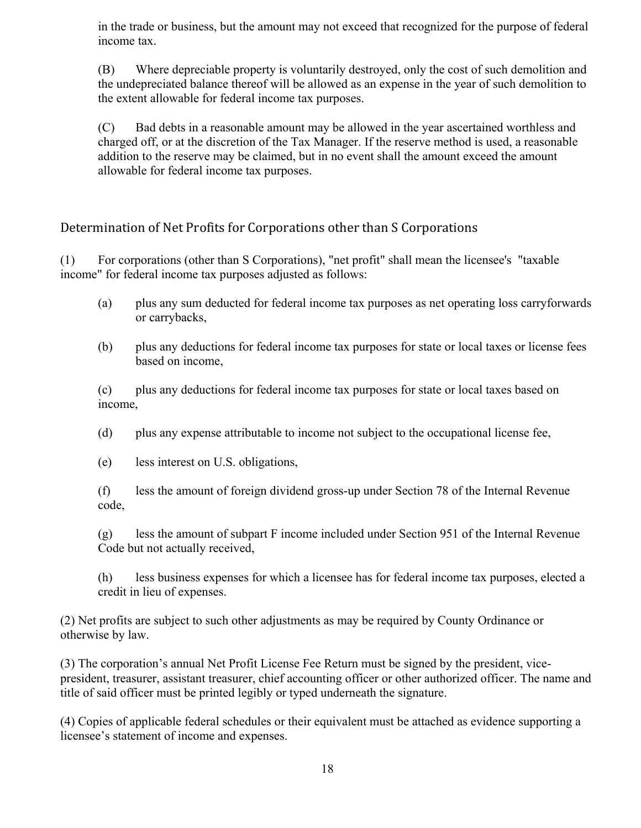in the trade or business, but the amount may not exceed that recognized for the purpose of federal income tax.

(B) Where depreciable property is voluntarily destroyed, only the cost of such demolition and the undepreciated balance thereof will be allowed as an expense in the year of such demolition to the extent allowable for federal income tax purposes.

(C) Bad debts in a reasonable amount may be allowed in the year ascertained worthless and charged off, or at the discretion of the Tax Manager. If the reserve method is used, a reasonable addition to the reserve may be claimed, but in no event shall the amount exceed the amount allowable for federal income tax purposes.

#### Determination of Net Profits for Corporations other than S Corporations

(1) For corporations (other than S Corporations), "net profit" shall mean the licensee's "taxable income" for federal income tax purposes adjusted as follows:

- (a) plus any sum deducted for federal income tax purposes as net operating loss carryforwards or carrybacks,
- (b) plus any deductions for federal income tax purposes for state or local taxes or license fees based on income,

(c) plus any deductions for federal income tax purposes for state or local taxes based on income,

(d) plus any expense attributable to income not subject to the occupational license fee,

(e) less interest on U.S. obligations,

(f) less the amount of foreign dividend gross-up under Section 78 of the Internal Revenue code,

(g) less the amount of subpart F income included under Section 951 of the Internal Revenue Code but not actually received,

(h) less business expenses for which a licensee has for federal income tax purposes, elected a credit in lieu of expenses.

(2) Net profits are subject to such other adjustments as may be required by County Ordinance or otherwise by law.

(3) The corporation's annual Net Profit License Fee Return must be signed by the president, vicepresident, treasurer, assistant treasurer, chief accounting officer or other authorized officer. The name and title of said officer must be printed legibly or typed underneath the signature.

(4) Copies of applicable federal schedules or their equivalent must be attached as evidence supporting a licensee's statement of income and expenses.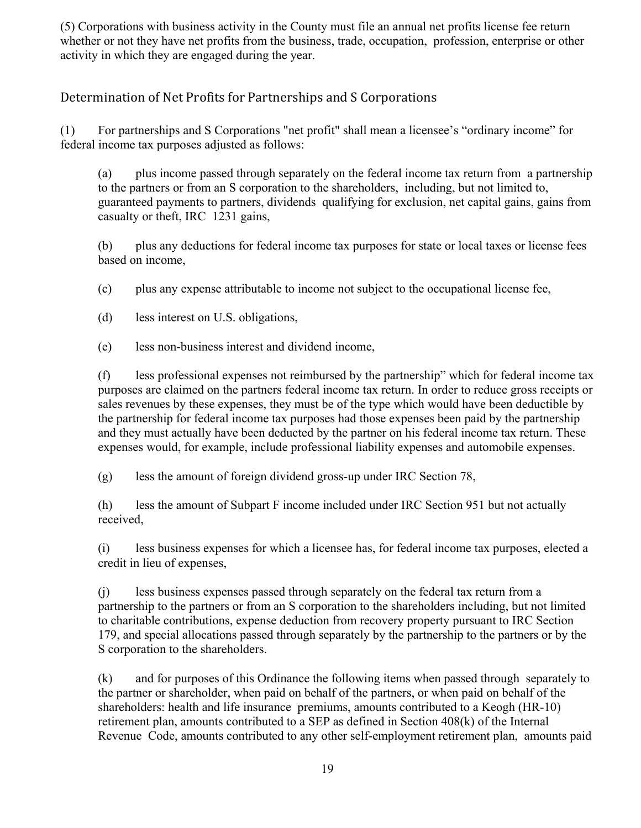(5) Corporations with business activity in the County must file an annual net profits license fee return whether or not they have net profits from the business, trade, occupation, profession, enterprise or other activity in which they are engaged during the year.

#### Determination of Net Profits for Partnerships and S Corporations

(1) For partnerships and S Corporations "net profit" shall mean a licensee's "ordinary income" for federal income tax purposes adjusted as follows:

(a) plus income passed through separately on the federal income tax return from a partnership to the partners or from an S corporation to the shareholders, including, but not limited to, guaranteed payments to partners, dividends qualifying for exclusion, net capital gains, gains from casualty or theft, IRC 1231 gains,

(b) plus any deductions for federal income tax purposes for state or local taxes or license fees based on income,

(c) plus any expense attributable to income not subject to the occupational license fee,

(d) less interest on U.S. obligations,

(e) less non-business interest and dividend income,

(f) less professional expenses not reimbursed by the partnership" which for federal income tax purposes are claimed on the partners federal income tax return. In order to reduce gross receipts or sales revenues by these expenses, they must be of the type which would have been deductible by the partnership for federal income tax purposes had those expenses been paid by the partnership and they must actually have been deducted by the partner on his federal income tax return. These expenses would, for example, include professional liability expenses and automobile expenses.

(g) less the amount of foreign dividend gross-up under IRC Section 78,

(h) less the amount of Subpart F income included under IRC Section 951 but not actually received,

(i) less business expenses for which a licensee has, for federal income tax purposes, elected a credit in lieu of expenses,

(j) less business expenses passed through separately on the federal tax return from a partnership to the partners or from an S corporation to the shareholders including, but not limited to charitable contributions, expense deduction from recovery property pursuant to IRC Section 179, and special allocations passed through separately by the partnership to the partners or by the S corporation to the shareholders.

(k) and for purposes of this Ordinance the following items when passed through separately to the partner or shareholder, when paid on behalf of the partners, or when paid on behalf of the shareholders: health and life insurance premiums, amounts contributed to a Keogh (HR-10) retirement plan, amounts contributed to a SEP as defined in Section 408(k) of the Internal Revenue Code, amounts contributed to any other self-employment retirement plan, amounts paid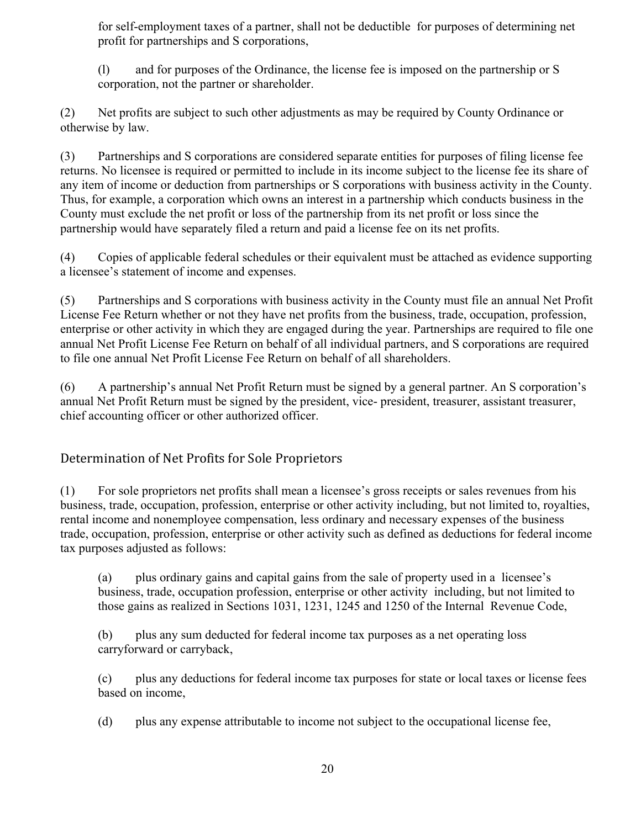for self-employment taxes of a partner, shall not be deductible for purposes of determining net profit for partnerships and S corporations,

(l) and for purposes of the Ordinance, the license fee is imposed on the partnership or S corporation, not the partner or shareholder.

(2) Net profits are subject to such other adjustments as may be required by County Ordinance or otherwise by law.

(3) Partnerships and S corporations are considered separate entities for purposes of filing license fee returns. No licensee is required or permitted to include in its income subject to the license fee its share of any item of income or deduction from partnerships or S corporations with business activity in the County. Thus, for example, a corporation which owns an interest in a partnership which conducts business in the County must exclude the net profit or loss of the partnership from its net profit or loss since the partnership would have separately filed a return and paid a license fee on its net profits.

(4) Copies of applicable federal schedules or their equivalent must be attached as evidence supporting a licensee's statement of income and expenses.

(5) Partnerships and S corporations with business activity in the County must file an annual Net Profit License Fee Return whether or not they have net profits from the business, trade, occupation, profession, enterprise or other activity in which they are engaged during the year. Partnerships are required to file one annual Net Profit License Fee Return on behalf of all individual partners, and S corporations are required to file one annual Net Profit License Fee Return on behalf of all shareholders.

(6) A partnership's annual Net Profit Return must be signed by a general partner. An S corporation's annual Net Profit Return must be signed by the president, vice- president, treasurer, assistant treasurer, chief accounting officer or other authorized officer.

#### Determination of Net Profits for Sole Proprietors

(1) For sole proprietors net profits shall mean a licensee's gross receipts or sales revenues from his business, trade, occupation, profession, enterprise or other activity including, but not limited to, royalties, rental income and nonemployee compensation, less ordinary and necessary expenses of the business trade, occupation, profession, enterprise or other activity such as defined as deductions for federal income tax purposes adjusted as follows:

(a) plus ordinary gains and capital gains from the sale of property used in a licensee's business, trade, occupation profession, enterprise or other activity including, but not limited to those gains as realized in Sections 1031, 1231, 1245 and 1250 of the Internal Revenue Code,

(b) plus any sum deducted for federal income tax purposes as a net operating loss carryforward or carryback,

(c) plus any deductions for federal income tax purposes for state or local taxes or license fees based on income,

(d) plus any expense attributable to income not subject to the occupational license fee,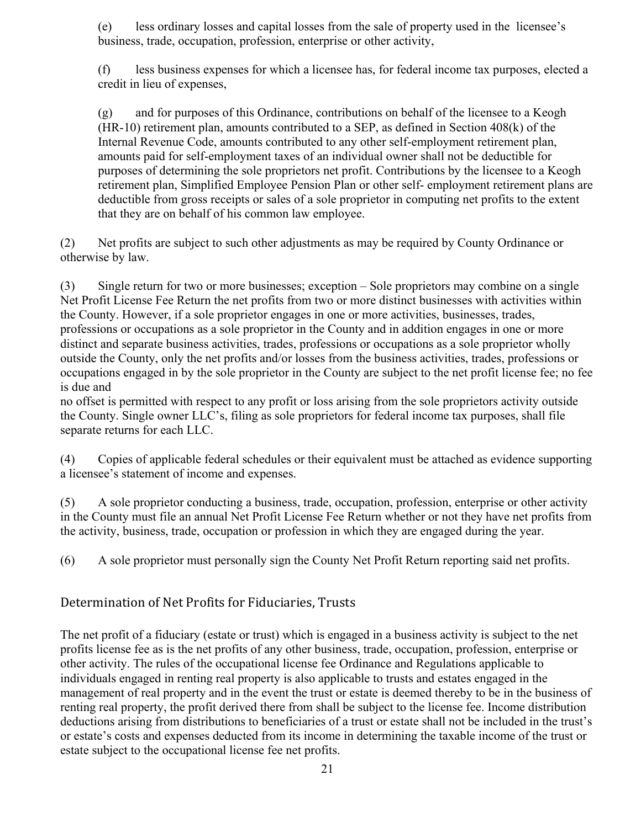(e) less ordinary losses and capital losses from the sale of property used in the licensee's business, trade, occupation, profession, enterprise or other activity,

(f) less business expenses for which a licensee has, for federal income tax purposes, elected a credit in lieu of expenses,

(g) and for purposes of this Ordinance, contributions on behalf of the licensee to a Keogh (HR-10) retirement plan, amounts contributed to a SEP, as defined in Section 408(k) of the Internal Revenue Code, amounts contributed to any other self-employment retirement plan, amounts paid for self-employment taxes of an individual owner shall not be deductible for purposes of determining the sole proprietors net profit. Contributions by the licensee to a Keogh retirement plan, Simplified Employee Pension Plan or other self- employment retirement plans are deductible from gross receipts or sales of a sole proprietor in computing net profits to the extent that they are on behalf of his common law employee.

(2) Net profits are subject to such other adjustments as may be required by County Ordinance or otherwise by law.

(3) Single return for two or more businesses; exception – Sole proprietors may combine on a single Net Profit License Fee Return the net profits from two or more distinct businesses with activities within the County. However, if a sole proprietor engages in one or more activities, businesses, trades, professions or occupations as a sole proprietor in the County and in addition engages in one or more distinct and separate business activities, trades, professions or occupations as a sole proprietor wholly outside the County, only the net profits and/or losses from the business activities, trades, professions or occupations engaged in by the sole proprietor in the County are subject to the net profit license fee; no fee is due and

no offset is permitted with respect to any profit or loss arising from the sole proprietors activity outside the County. Single owner LLC's, filing as sole proprietors for federal income tax purposes, shall file separate returns for each LLC.

(4) Copies of applicable federal schedules or their equivalent must be attached as evidence supporting a licensee's statement of income and expenses.

(5) A sole proprietor conducting a business, trade, occupation, profession, enterprise or other activity in the County must file an annual Net Profit License Fee Return whether or not they have net profits from the activity, business, trade, occupation or profession in which they are engaged during the year.

(6) A sole proprietor must personally sign the County Net Profit Return reporting said net profits.

#### Determination of Net Profits for Fiduciaries, Trusts

The net profit of a fiduciary (estate or trust) which is engaged in a business activity is subject to the net profits license fee as is the net profits of any other business, trade, occupation, profession, enterprise or other activity. The rules of the occupational license fee Ordinance and Regulations applicable to individuals engaged in renting real property is also applicable to trusts and estates engaged in the management of real property and in the event the trust or estate is deemed thereby to be in the business of renting real property, the profit derived there from shall be subject to the license fee. Income distribution deductions arising from distributions to beneficiaries of a trust or estate shall not be included in the trust's or estate's costs and expenses deducted from its income in determining the taxable income of the trust or estate subject to the occupational license fee net profits.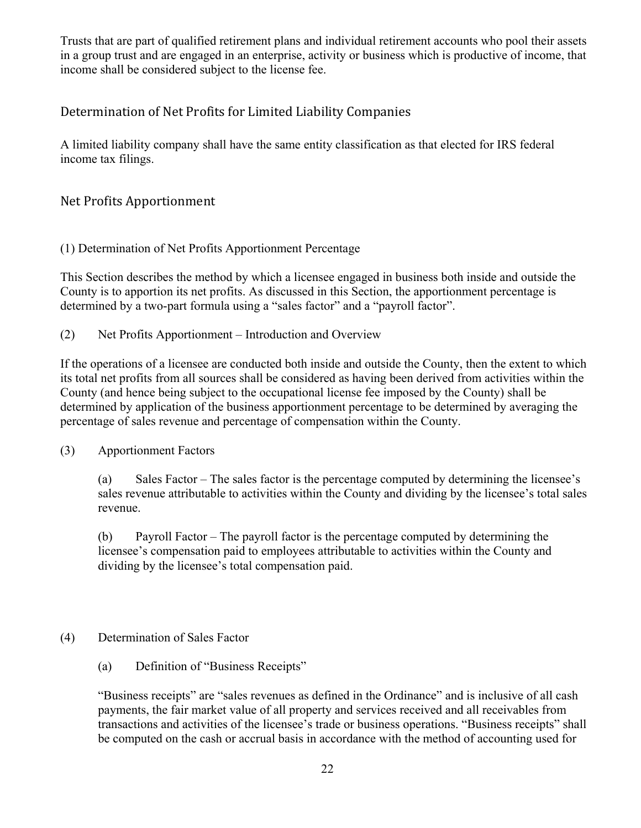Trusts that are part of qualified retirement plans and individual retirement accounts who pool their assets in a group trust and are engaged in an enterprise, activity or business which is productive of income, that income shall be considered subject to the license fee.

#### Determination of Net Profits for Limited Liability Companies

A limited liability company shall have the same entity classification as that elected for IRS federal income tax filings.

Net Profits Apportionment

(1) Determination of Net Profits Apportionment Percentage

This Section describes the method by which a licensee engaged in business both inside and outside the County is to apportion its net profits. As discussed in this Section, the apportionment percentage is determined by a two-part formula using a "sales factor" and a "payroll factor".

(2) Net Profits Apportionment – Introduction and Overview

If the operations of a licensee are conducted both inside and outside the County, then the extent to which its total net profits from all sources shall be considered as having been derived from activities within the County (and hence being subject to the occupational license fee imposed by the County) shall be determined by application of the business apportionment percentage to be determined by averaging the percentage of sales revenue and percentage of compensation within the County.

#### (3) Apportionment Factors

(a) Sales Factor – The sales factor is the percentage computed by determining the licensee's sales revenue attributable to activities within the County and dividing by the licensee's total sales revenue.

(b) Payroll Factor – The payroll factor is the percentage computed by determining the licensee's compensation paid to employees attributable to activities within the County and dividing by the licensee's total compensation paid.

#### (4) Determination of Sales Factor

(a) Definition of "Business Receipts"

"Business receipts" are "sales revenues as defined in the Ordinance" and is inclusive of all cash payments, the fair market value of all property and services received and all receivables from transactions and activities of the licensee's trade or business operations. "Business receipts" shall be computed on the cash or accrual basis in accordance with the method of accounting used for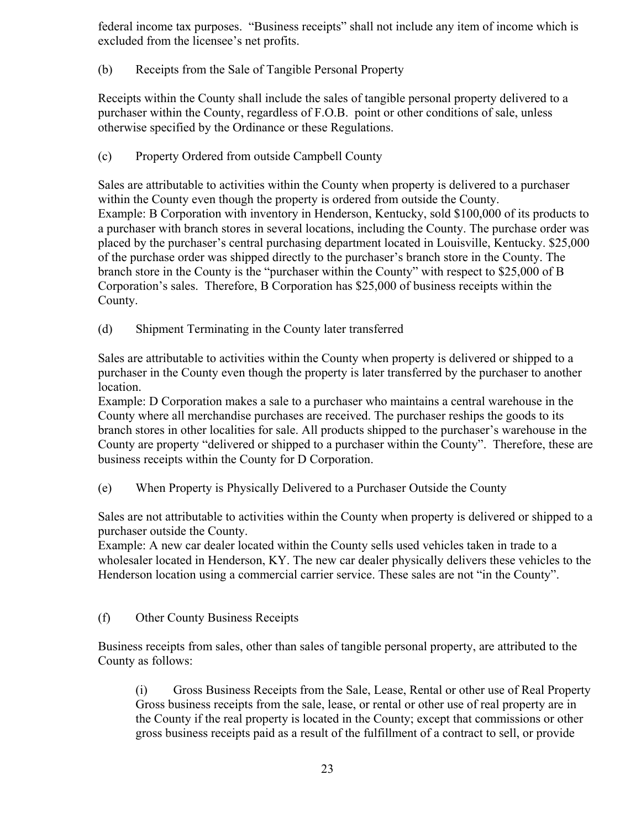federal income tax purposes. "Business receipts" shall not include any item of income which is excluded from the licensee's net profits.

(b) Receipts from the Sale of Tangible Personal Property

Receipts within the County shall include the sales of tangible personal property delivered to a purchaser within the County, regardless of F.O.B. point or other conditions of sale, unless otherwise specified by the Ordinance or these Regulations.

(c) Property Ordered from outside Campbell County

Sales are attributable to activities within the County when property is delivered to a purchaser within the County even though the property is ordered from outside the County. Example: B Corporation with inventory in Henderson, Kentucky, sold \$100,000 of its products to a purchaser with branch stores in several locations, including the County. The purchase order was placed by the purchaser's central purchasing department located in Louisville, Kentucky. \$25,000 of the purchase order was shipped directly to the purchaser's branch store in the County. The branch store in the County is the "purchaser within the County" with respect to \$25,000 of B Corporation's sales. Therefore, B Corporation has \$25,000 of business receipts within the County.

(d) Shipment Terminating in the County later transferred

Sales are attributable to activities within the County when property is delivered or shipped to a purchaser in the County even though the property is later transferred by the purchaser to another location.

Example: D Corporation makes a sale to a purchaser who maintains a central warehouse in the County where all merchandise purchases are received. The purchaser reships the goods to its branch stores in other localities for sale. All products shipped to the purchaser's warehouse in the County are property "delivered or shipped to a purchaser within the County". Therefore, these are business receipts within the County for D Corporation.

(e) When Property is Physically Delivered to a Purchaser Outside the County

Sales are not attributable to activities within the County when property is delivered or shipped to a purchaser outside the County.

Example: A new car dealer located within the County sells used vehicles taken in trade to a wholesaler located in Henderson, KY. The new car dealer physically delivers these vehicles to the Henderson location using a commercial carrier service. These sales are not "in the County".

(f) Other County Business Receipts

Business receipts from sales, other than sales of tangible personal property, are attributed to the County as follows:

(i) Gross Business Receipts from the Sale, Lease, Rental or other use of Real Property Gross business receipts from the sale, lease, or rental or other use of real property are in the County if the real property is located in the County; except that commissions or other gross business receipts paid as a result of the fulfillment of a contract to sell, or provide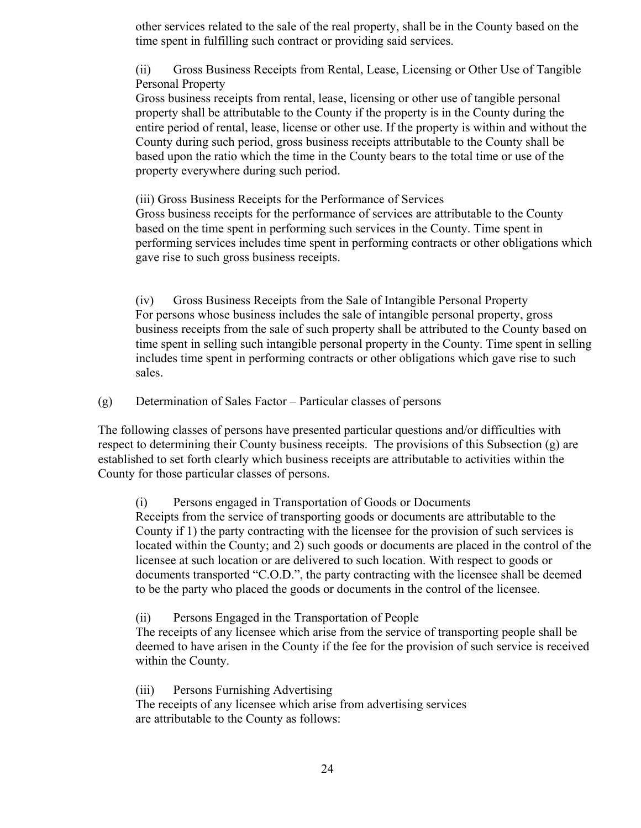other services related to the sale of the real property, shall be in the County based on the time spent in fulfilling such contract or providing said services.

(ii) Gross Business Receipts from Rental, Lease, Licensing or Other Use of Tangible Personal Property

Gross business receipts from rental, lease, licensing or other use of tangible personal property shall be attributable to the County if the property is in the County during the entire period of rental, lease, license or other use. If the property is within and without the County during such period, gross business receipts attributable to the County shall be based upon the ratio which the time in the County bears to the total time or use of the property everywhere during such period.

(iii) Gross Business Receipts for the Performance of Services

Gross business receipts for the performance of services are attributable to the County based on the time spent in performing such services in the County. Time spent in performing services includes time spent in performing contracts or other obligations which gave rise to such gross business receipts.

(iv) Gross Business Receipts from the Sale of Intangible Personal Property For persons whose business includes the sale of intangible personal property, gross business receipts from the sale of such property shall be attributed to the County based on time spent in selling such intangible personal property in the County. Time spent in selling includes time spent in performing contracts or other obligations which gave rise to such sales.

(g) Determination of Sales Factor – Particular classes of persons

The following classes of persons have presented particular questions and/or difficulties with respect to determining their County business receipts. The provisions of this Subsection (g) are established to set forth clearly which business receipts are attributable to activities within the County for those particular classes of persons.

(i) Persons engaged in Transportation of Goods or Documents Receipts from the service of transporting goods or documents are attributable to the County if 1) the party contracting with the licensee for the provision of such services is located within the County; and 2) such goods or documents are placed in the control of the licensee at such location or are delivered to such location. With respect to goods or documents transported "C.O.D.", the party contracting with the licensee shall be deemed to be the party who placed the goods or documents in the control of the licensee.

(ii) Persons Engaged in the Transportation of People

The receipts of any licensee which arise from the service of transporting people shall be deemed to have arisen in the County if the fee for the provision of such service is received within the County.

(iii) Persons Furnishing Advertising

The receipts of any licensee which arise from advertising services are attributable to the County as follows: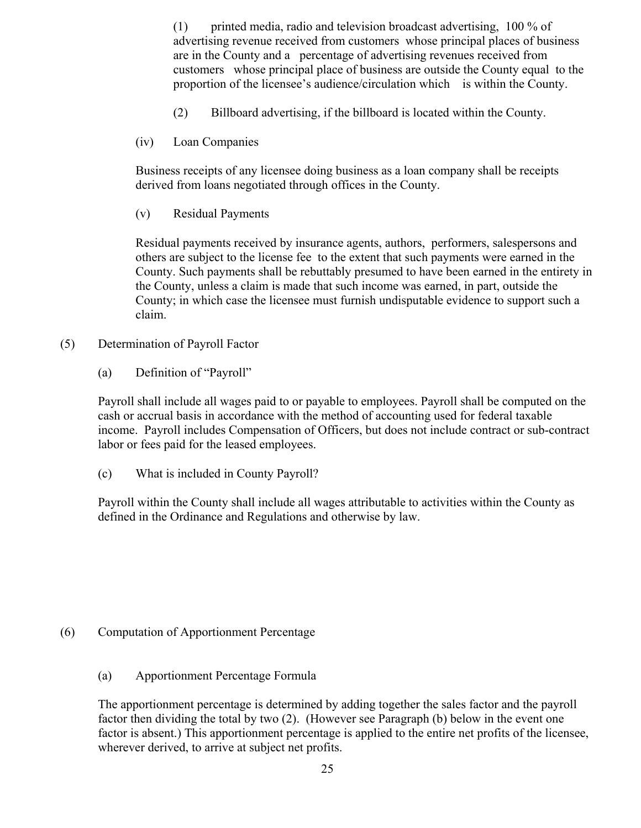(1) printed media, radio and television broadcast advertising, 100 % of advertising revenue received from customers whose principal places of business are in the County and a percentage of advertising revenues received from customers whose principal place of business are outside the County equal to the proportion of the licensee's audience/circulation which is within the County.

- (2) Billboard advertising, if the billboard is located within the County.
- (iv) Loan Companies

Business receipts of any licensee doing business as a loan company shall be receipts derived from loans negotiated through offices in the County.

(v) Residual Payments

Residual payments received by insurance agents, authors, performers, salespersons and others are subject to the license fee to the extent that such payments were earned in the County. Such payments shall be rebuttably presumed to have been earned in the entirety in the County, unless a claim is made that such income was earned, in part, outside the County; in which case the licensee must furnish undisputable evidence to support such a claim.

- (5) Determination of Payroll Factor
	- (a) Definition of "Payroll"

Payroll shall include all wages paid to or payable to employees. Payroll shall be computed on the cash or accrual basis in accordance with the method of accounting used for federal taxable income. Payroll includes Compensation of Officers, but does not include contract or sub-contract labor or fees paid for the leased employees.

(c) What is included in County Payroll?

Payroll within the County shall include all wages attributable to activities within the County as defined in the Ordinance and Regulations and otherwise by law.

#### (6) Computation of Apportionment Percentage

(a) Apportionment Percentage Formula

The apportionment percentage is determined by adding together the sales factor and the payroll factor then dividing the total by two (2). (However see Paragraph (b) below in the event one factor is absent.) This apportionment percentage is applied to the entire net profits of the licensee, wherever derived, to arrive at subject net profits.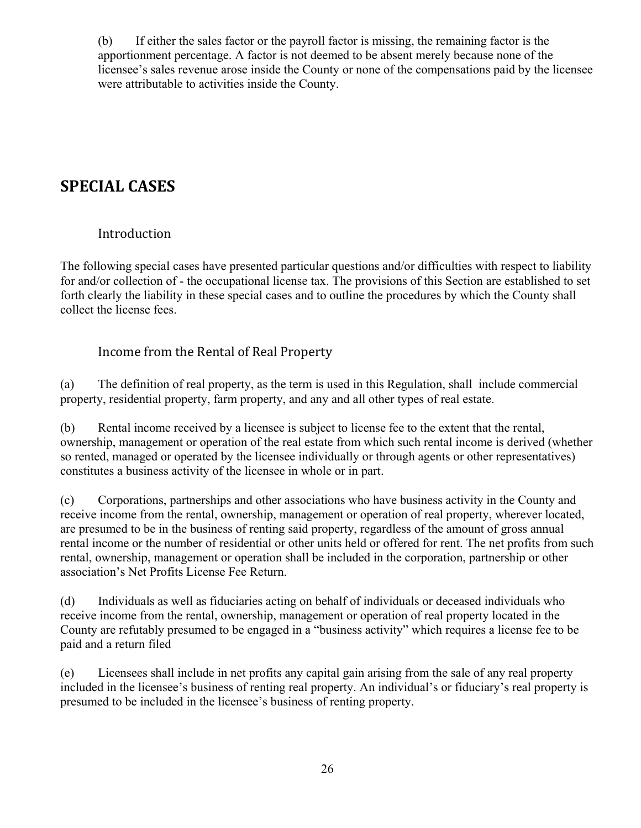(b) If either the sales factor or the payroll factor is missing, the remaining factor is the apportionment percentage. A factor is not deemed to be absent merely because none of the licensee's sales revenue arose inside the County or none of the compensations paid by the licensee were attributable to activities inside the County.

## **SPECIAL CASES**

#### Introduction

The following special cases have presented particular questions and/or difficulties with respect to liability for and/or collection of - the occupational license tax. The provisions of this Section are established to set forth clearly the liability in these special cases and to outline the procedures by which the County shall collect the license fees.

#### Income from the Rental of Real Property

(a) The definition of real property, as the term is used in this Regulation, shall include commercial property, residential property, farm property, and any and all other types of real estate.

(b) Rental income received by a licensee is subject to license fee to the extent that the rental, ownership, management or operation of the real estate from which such rental income is derived (whether so rented, managed or operated by the licensee individually or through agents or other representatives) constitutes a business activity of the licensee in whole or in part.

(c) Corporations, partnerships and other associations who have business activity in the County and receive income from the rental, ownership, management or operation of real property, wherever located, are presumed to be in the business of renting said property, regardless of the amount of gross annual rental income or the number of residential or other units held or offered for rent. The net profits from such rental, ownership, management or operation shall be included in the corporation, partnership or other association's Net Profits License Fee Return.

(d) Individuals as well as fiduciaries acting on behalf of individuals or deceased individuals who receive income from the rental, ownership, management or operation of real property located in the County are refutably presumed to be engaged in a "business activity" which requires a license fee to be paid and a return filed

(e) Licensees shall include in net profits any capital gain arising from the sale of any real property included in the licensee's business of renting real property. An individual's or fiduciary's real property is presumed to be included in the licensee's business of renting property.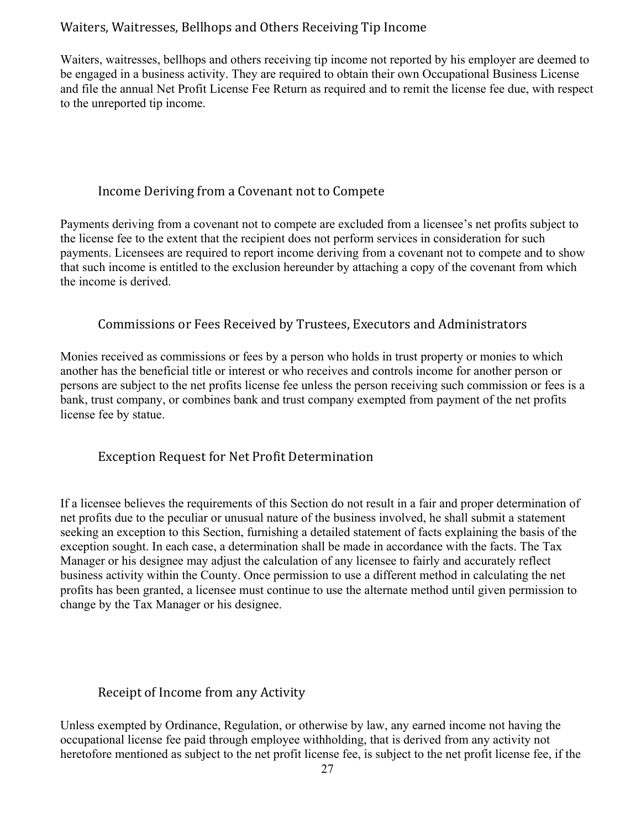#### Waiters, Waitresses, Bellhops and Others Receiving Tip Income

Waiters, waitresses, bellhops and others receiving tip income not reported by his employer are deemed to be engaged in a business activity. They are required to obtain their own Occupational Business License and file the annual Net Profit License Fee Return as required and to remit the license fee due, with respect to the unreported tip income.

#### Income Deriving from a Covenant not to Compete

Payments deriving from a covenant not to compete are excluded from a licensee's net profits subject to the license fee to the extent that the recipient does not perform services in consideration for such payments. Licensees are required to report income deriving from a covenant not to compete and to show that such income is entitled to the exclusion hereunder by attaching a copy of the covenant from which the income is derived.

#### Commissions or Fees Received by Trustees, Executors and Administrators

Monies received as commissions or fees by a person who holds in trust property or monies to which another has the beneficial title or interest or who receives and controls income for another person or persons are subject to the net profits license fee unless the person receiving such commission or fees is a bank, trust company, or combines bank and trust company exempted from payment of the net profits license fee by statue.

#### Exception Request for Net Profit Determination

If a licensee believes the requirements of this Section do not result in a fair and proper determination of net profits due to the peculiar or unusual nature of the business involved, he shall submit a statement seeking an exception to this Section, furnishing a detailed statement of facts explaining the basis of the exception sought. In each case, a determination shall be made in accordance with the facts. The Tax Manager or his designee may adjust the calculation of any licensee to fairly and accurately reflect business activity within the County. Once permission to use a different method in calculating the net profits has been granted, a licensee must continue to use the alternate method until given permission to change by the Tax Manager or his designee.

#### Receipt of Income from any Activity

Unless exempted by Ordinance, Regulation, or otherwise by law, any earned income not having the occupational license fee paid through employee withholding, that is derived from any activity not heretofore mentioned as subject to the net profit license fee, is subject to the net profit license fee, if the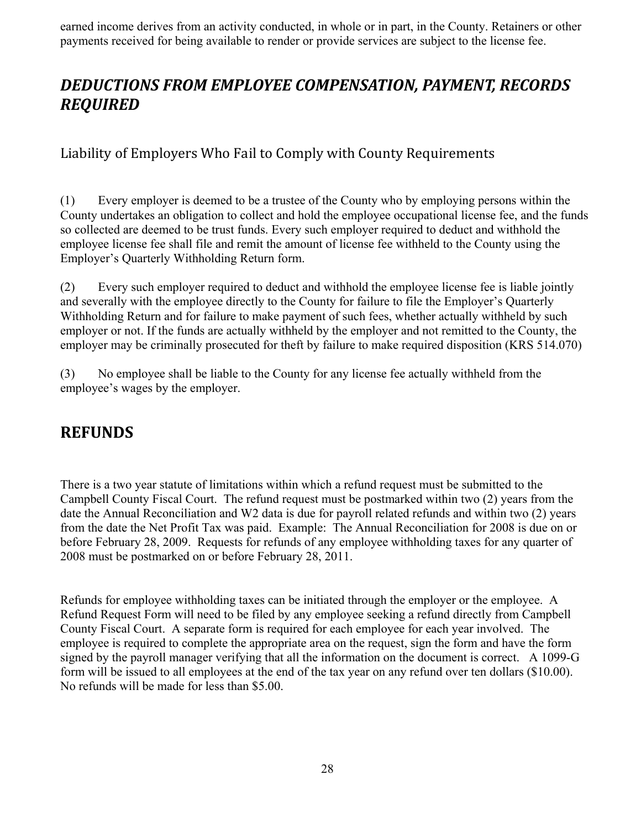earned income derives from an activity conducted, in whole or in part, in the County. Retainers or other payments received for being available to render or provide services are subject to the license fee.

## *DEDUCTIONS FROM EMPLOYEE COMPENSATION, PAYMENT, RECORDS REQUIRED*

Liability of Employers Who Fail to Comply with County Requirements

(1) Every employer is deemed to be a trustee of the County who by employing persons within the County undertakes an obligation to collect and hold the employee occupational license fee, and the funds so collected are deemed to be trust funds. Every such employer required to deduct and withhold the employee license fee shall file and remit the amount of license fee withheld to the County using the Employer's Quarterly Withholding Return form.

(2) Every such employer required to deduct and withhold the employee license fee is liable jointly and severally with the employee directly to the County for failure to file the Employer's Quarterly Withholding Return and for failure to make payment of such fees, whether actually withheld by such employer or not. If the funds are actually withheld by the employer and not remitted to the County, the employer may be criminally prosecuted for theft by failure to make required disposition (KRS 514.070)

(3) No employee shall be liable to the County for any license fee actually withheld from the employee's wages by the employer.

## **REFUNDS**

There is a two year statute of limitations within which a refund request must be submitted to the Campbell County Fiscal Court. The refund request must be postmarked within two (2) years from the date the Annual Reconciliation and W2 data is due for payroll related refunds and within two (2) years from the date the Net Profit Tax was paid. Example: The Annual Reconciliation for 2008 is due on or before February 28, 2009. Requests for refunds of any employee withholding taxes for any quarter of 2008 must be postmarked on or before February 28, 2011.

Refunds for employee withholding taxes can be initiated through the employer or the employee. A Refund Request Form will need to be filed by any employee seeking a refund directly from Campbell County Fiscal Court. A separate form is required for each employee for each year involved. The employee is required to complete the appropriate area on the request, sign the form and have the form signed by the payroll manager verifying that all the information on the document is correct. A 1099-G form will be issued to all employees at the end of the tax year on any refund over ten dollars (\$10.00). No refunds will be made for less than \$5.00.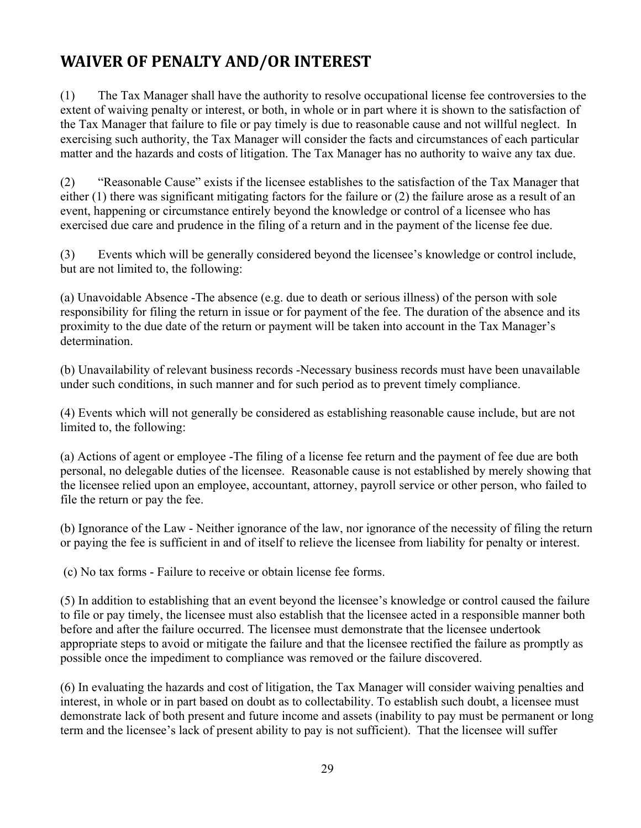## **WAIVER OF PENALTY AND/OR INTEREST**

(1) The Tax Manager shall have the authority to resolve occupational license fee controversies to the extent of waiving penalty or interest, or both, in whole or in part where it is shown to the satisfaction of the Tax Manager that failure to file or pay timely is due to reasonable cause and not willful neglect. In exercising such authority, the Tax Manager will consider the facts and circumstances of each particular matter and the hazards and costs of litigation. The Tax Manager has no authority to waive any tax due.

(2) "Reasonable Cause" exists if the licensee establishes to the satisfaction of the Tax Manager that either (1) there was significant mitigating factors for the failure or (2) the failure arose as a result of an event, happening or circumstance entirely beyond the knowledge or control of a licensee who has exercised due care and prudence in the filing of a return and in the payment of the license fee due.

(3) Events which will be generally considered beyond the licensee's knowledge or control include, but are not limited to, the following:

(a) Unavoidable Absence -The absence (e.g. due to death or serious illness) of the person with sole responsibility for filing the return in issue or for payment of the fee. The duration of the absence and its proximity to the due date of the return or payment will be taken into account in the Tax Manager's determination.

(b) Unavailability of relevant business records -Necessary business records must have been unavailable under such conditions, in such manner and for such period as to prevent timely compliance.

(4) Events which will not generally be considered as establishing reasonable cause include, but are not limited to, the following:

(a) Actions of agent or employee -The filing of a license fee return and the payment of fee due are both personal, no delegable duties of the licensee. Reasonable cause is not established by merely showing that the licensee relied upon an employee, accountant, attorney, payroll service or other person, who failed to file the return or pay the fee.

(b) Ignorance of the Law - Neither ignorance of the law, nor ignorance of the necessity of filing the return or paying the fee is sufficient in and of itself to relieve the licensee from liability for penalty or interest.

(c) No tax forms - Failure to receive or obtain license fee forms.

(5) In addition to establishing that an event beyond the licensee's knowledge or control caused the failure to file or pay timely, the licensee must also establish that the licensee acted in a responsible manner both before and after the failure occurred. The licensee must demonstrate that the licensee undertook appropriate steps to avoid or mitigate the failure and that the licensee rectified the failure as promptly as possible once the impediment to compliance was removed or the failure discovered.

(6) In evaluating the hazards and cost of litigation, the Tax Manager will consider waiving penalties and interest, in whole or in part based on doubt as to collectability. To establish such doubt, a licensee must demonstrate lack of both present and future income and assets (inability to pay must be permanent or long term and the licensee's lack of present ability to pay is not sufficient). That the licensee will suffer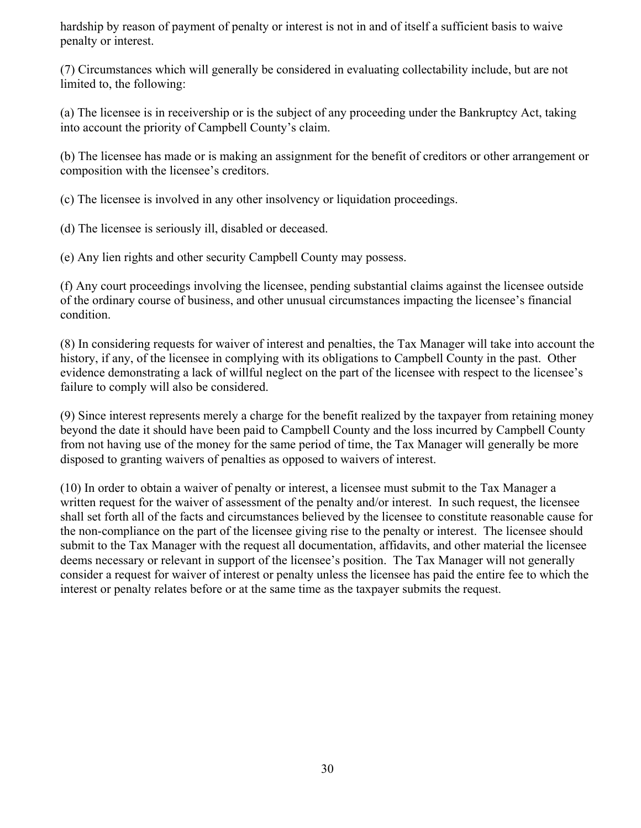hardship by reason of payment of penalty or interest is not in and of itself a sufficient basis to waive penalty or interest.

(7) Circumstances which will generally be considered in evaluating collectability include, but are not limited to, the following:

(a) The licensee is in receivership or is the subject of any proceeding under the Bankruptcy Act, taking into account the priority of Campbell County's claim.

(b) The licensee has made or is making an assignment for the benefit of creditors or other arrangement or composition with the licensee's creditors.

(c) The licensee is involved in any other insolvency or liquidation proceedings.

(d) The licensee is seriously ill, disabled or deceased.

(e) Any lien rights and other security Campbell County may possess.

(f) Any court proceedings involving the licensee, pending substantial claims against the licensee outside of the ordinary course of business, and other unusual circumstances impacting the licensee's financial condition.

(8) In considering requests for waiver of interest and penalties, the Tax Manager will take into account the history, if any, of the licensee in complying with its obligations to Campbell County in the past. Other evidence demonstrating a lack of willful neglect on the part of the licensee with respect to the licensee's failure to comply will also be considered.

(9) Since interest represents merely a charge for the benefit realized by the taxpayer from retaining money beyond the date it should have been paid to Campbell County and the loss incurred by Campbell County from not having use of the money for the same period of time, the Tax Manager will generally be more disposed to granting waivers of penalties as opposed to waivers of interest.

(10) In order to obtain a waiver of penalty or interest, a licensee must submit to the Tax Manager a written request for the waiver of assessment of the penalty and/or interest. In such request, the licensee shall set forth all of the facts and circumstances believed by the licensee to constitute reasonable cause for the non-compliance on the part of the licensee giving rise to the penalty or interest. The licensee should submit to the Tax Manager with the request all documentation, affidavits, and other material the licensee deems necessary or relevant in support of the licensee's position. The Tax Manager will not generally consider a request for waiver of interest or penalty unless the licensee has paid the entire fee to which the interest or penalty relates before or at the same time as the taxpayer submits the request.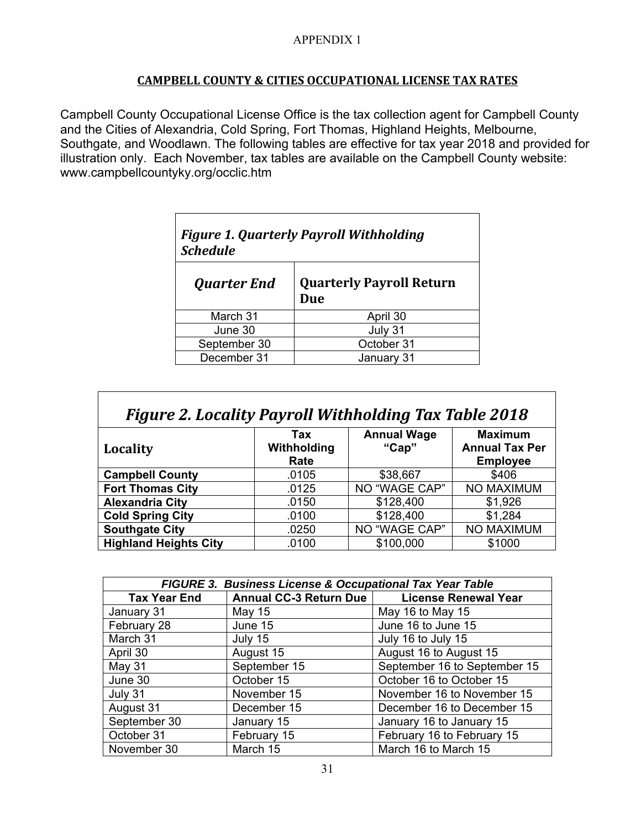#### **CAMPBELL COUNTY & CITIES OCCUPATIONAL LICENSE TAX RATES**

Campbell County Occupational License Office is the tax collection agent for Campbell County and the Cities of Alexandria, Cold Spring, Fort Thomas, Highland Heights, Melbourne, Southgate, and Woodlawn. The following tables are effective for tax year 2018 and provided for illustration only. Each November, tax tables are available on the Campbell County website: www.campbellcountyky.org/occlic.htm

| <b>Figure 1. Quarterly Payroll Withholding</b><br><b>Schedule</b> |  |  |  |
|-------------------------------------------------------------------|--|--|--|
| <b>Quarterly Payroll Return</b><br>Due                            |  |  |  |
| April 30                                                          |  |  |  |
| July 31                                                           |  |  |  |
| October 31                                                        |  |  |  |
| January 31                                                        |  |  |  |
|                                                                   |  |  |  |

| <b>Figure 2. Locality Payroll Withholding Tax Table 2018</b> |                            |                             |                                                            |  |  |
|--------------------------------------------------------------|----------------------------|-----------------------------|------------------------------------------------------------|--|--|
| Locality                                                     | Tax<br>Withholding<br>Rate | <b>Annual Wage</b><br>"Cap" | <b>Maximum</b><br><b>Annual Tax Per</b><br><b>Employee</b> |  |  |
| <b>Campbell County</b>                                       | .0105                      | \$38,667                    | \$406                                                      |  |  |
| <b>Fort Thomas City</b>                                      | .0125                      | NO "WAGE CAP"               | NO MAXIMUM                                                 |  |  |
| <b>Alexandria City</b>                                       | .0150                      | \$128,400                   | \$1,926                                                    |  |  |
| <b>Cold Spring City</b>                                      | .0100                      | \$128,400                   | \$1,284                                                    |  |  |
| <b>Southgate City</b>                                        | .0250                      | NO "WAGE CAP"               | NO MAXIMUM                                                 |  |  |
| <b>Highland Heights City</b>                                 | .0100                      | \$100,000                   | \$1000                                                     |  |  |

| <b>FIGURE 3. Business License &amp; Occupational Tax Year Table</b> |                        |                              |  |  |
|---------------------------------------------------------------------|------------------------|------------------------------|--|--|
| <b>Tax Year End</b>                                                 | Annual CC-3 Return Due | <b>License Renewal Year</b>  |  |  |
| January 31                                                          | May $15$               | May 16 to May 15             |  |  |
| February 28                                                         | June 15                | June 16 to June 15           |  |  |
| March 31                                                            | July 15                | July 16 to July 15           |  |  |
| April 30                                                            | August 15              | August 16 to August 15       |  |  |
| May 31                                                              | September 15           | September 16 to September 15 |  |  |
| June 30                                                             | October 15             | October 16 to October 15     |  |  |
| July 31                                                             | November 15            | November 16 to November 15   |  |  |
| August 31                                                           | December 15            | December 16 to December 15   |  |  |
| September 30                                                        | January 15             | January 16 to January 15     |  |  |
| October 31                                                          | February 15            | February 16 to February 15   |  |  |
| November 30                                                         | March 15               | March 16 to March 15         |  |  |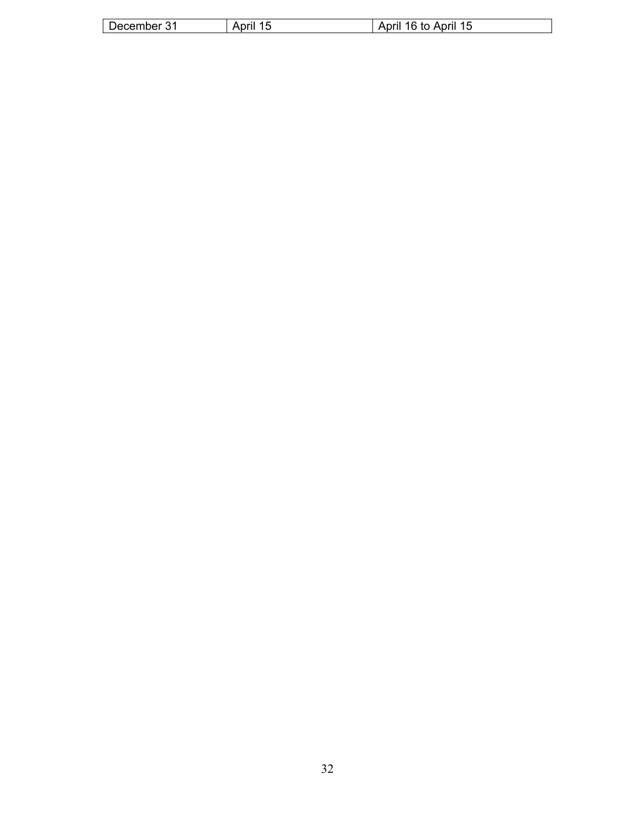| ber<br>∠cerr<br>æ<br>. .<br>__ | $-$<br>ᇺ | <b>\Dril</b><br>้เล<br>`orii .<br>to<br>w |
|--------------------------------|----------|-------------------------------------------|